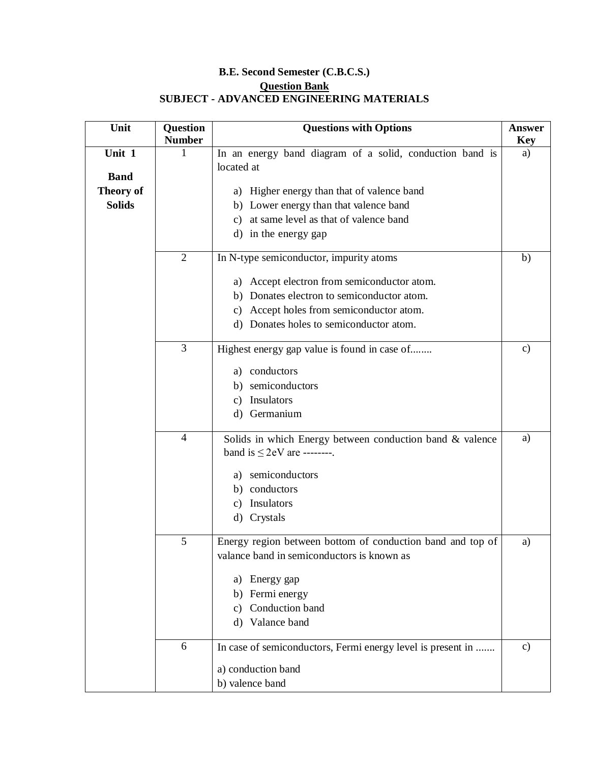## **B.E. Second Semester (C.B.C.S.) Question Bank SUBJECT - ADVANCED ENGINEERING MATERIALS**

| Unit             | Question<br><b>Number</b> | <b>Questions with Options</b>                                          | Answer<br><b>Key</b> |
|------------------|---------------------------|------------------------------------------------------------------------|----------------------|
| Unit 1           | 1                         | In an energy band diagram of a solid, conduction band is<br>located at | a)                   |
| <b>Band</b>      |                           |                                                                        |                      |
| <b>Theory of</b> |                           | a) Higher energy than that of valence band                             |                      |
| <b>Solids</b>    |                           | b) Lower energy than that valence band                                 |                      |
|                  |                           | at same level as that of valence band<br>c)                            |                      |
|                  |                           | d) in the energy gap                                                   |                      |
|                  | $\overline{2}$            | In N-type semiconductor, impurity atoms                                | b)                   |
|                  |                           | a) Accept electron from semiconductor atom.                            |                      |
|                  |                           | b) Donates electron to semiconductor atom.                             |                      |
|                  |                           | Accept holes from semiconductor atom.<br>C)                            |                      |
|                  |                           | d) Donates holes to semiconductor atom.                                |                      |
|                  | 3                         | Highest energy gap value is found in case of                           | $\mathbf{c}$         |
|                  |                           | conductors<br>a)                                                       |                      |
|                  |                           | semiconductors<br>b)                                                   |                      |
|                  |                           | Insulators<br>C)                                                       |                      |
|                  |                           | Germanium<br>$\rm d$                                                   |                      |
|                  | $\overline{4}$            | Solids in which Energy between conduction band & valence               | a)                   |
|                  |                           | band is $\leq$ 2eV are --------.                                       |                      |
|                  |                           | semiconductors<br>a)                                                   |                      |
|                  |                           | conductors<br>b)                                                       |                      |
|                  |                           | Insulators<br>C)                                                       |                      |
|                  |                           | d) Crystals                                                            |                      |
|                  | 5                         | Energy region between bottom of conduction band and top of             | a)                   |
|                  |                           | valance band in semiconductors is known as                             |                      |
|                  |                           | Energy gap<br>a)                                                       |                      |
|                  |                           | Fermi energy<br>b)                                                     |                      |
|                  |                           | Conduction band<br>c)                                                  |                      |
|                  |                           | d) Valance band                                                        |                      |
|                  | 6                         | In case of semiconductors, Fermi energy level is present in            | $\mathbf{c})$        |
|                  |                           | a) conduction band                                                     |                      |
|                  |                           | b) valence band                                                        |                      |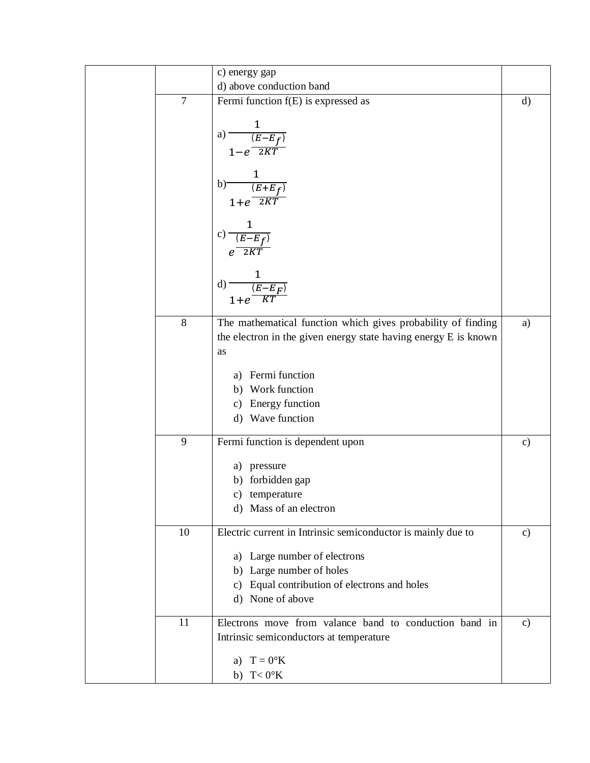|                | c) energy gap                                                   |               |
|----------------|-----------------------------------------------------------------|---------------|
|                | d) above conduction band                                        |               |
| $\overline{7}$ | Fermi function f(E) is expressed as                             | $\rm d)$      |
|                |                                                                 |               |
|                |                                                                 |               |
|                | a) $\frac{1}{(E-E_f)}$                                          |               |
|                | $1-e$ <sup><math>2KT</math></sup>                               |               |
|                |                                                                 |               |
|                |                                                                 |               |
|                | b) $\frac{1}{(E+E_f)}$<br>1+e 2KT                               |               |
|                |                                                                 |               |
|                |                                                                 |               |
|                |                                                                 |               |
|                | c) $\frac{1}{e^{\frac{(E-E_f)}{2KT}}}$                          |               |
|                |                                                                 |               |
|                | $\frac{1}{\frac{(E-E_F)}{vT}}$                                  |               |
|                | $d)$ –                                                          |               |
|                | $1+e^-$                                                         |               |
| $\,8\,$        |                                                                 |               |
|                | The mathematical function which gives probability of finding    | a)            |
|                | the electron in the given energy state having energy E is known |               |
|                | as                                                              |               |
|                | a) Fermi function                                               |               |
|                | b) Work function                                                |               |
|                |                                                                 |               |
|                | c) Energy function                                              |               |
|                | d) Wave function                                                |               |
| 9              | Fermi function is dependent upon                                | $\mathbf{c})$ |
|                | a) pressure                                                     |               |
|                | b) forbidden gap                                                |               |
|                |                                                                 |               |
|                | c) temperature                                                  |               |
|                | d) Mass of an electron                                          |               |
| 10             | Electric current in Intrinsic semiconductor is mainly due to    | $\mathbf{c})$ |
|                | a) Large number of electrons                                    |               |
|                | b) Large number of holes                                        |               |
|                | c) Equal contribution of electrons and holes                    |               |
|                |                                                                 |               |
|                | d) None of above                                                |               |
| 11             | Electrons move from valance band to conduction band in          | $\mathbf{c}$  |
|                | Intrinsic semiconductors at temperature                         |               |
|                |                                                                 |               |
|                | a) $T = 0$ <sup>o</sup> K                                       |               |
|                | b) $T < 0$ °K                                                   |               |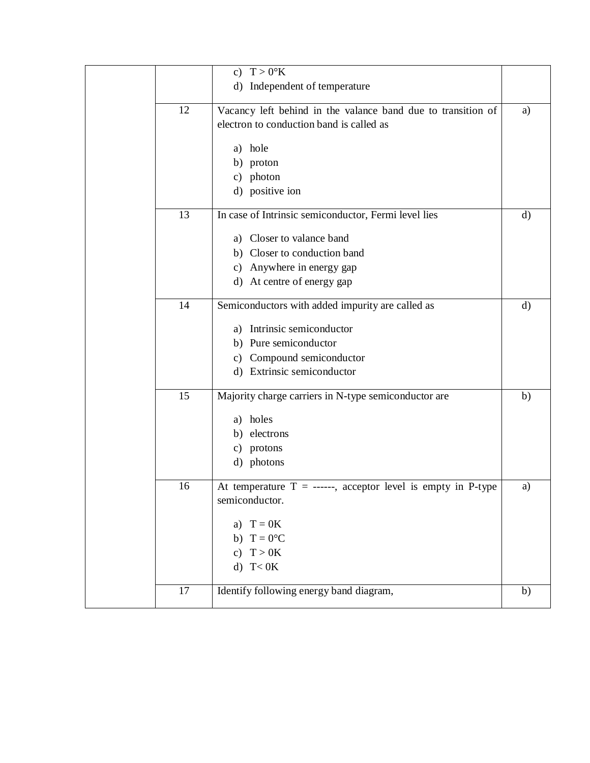|    | c) $T > 0$ °K                                                  |              |
|----|----------------------------------------------------------------|--------------|
|    | d) Independent of temperature                                  |              |
|    |                                                                |              |
| 12 | Vacancy left behind in the valance band due to transition of   | a)           |
|    | electron to conduction band is called as                       |              |
|    |                                                                |              |
|    | a) hole                                                        |              |
|    | b) proton                                                      |              |
|    | c) photon                                                      |              |
|    | d) positive ion                                                |              |
| 13 | In case of Intrinsic semiconductor, Fermi level lies           | d)           |
|    | a) Closer to valance band                                      |              |
|    | b) Closer to conduction band                                   |              |
|    | c) Anywhere in energy gap                                      |              |
|    | d) At centre of energy gap                                     |              |
|    |                                                                |              |
| 14 | Semiconductors with added impurity are called as               | $\mathbf{d}$ |
|    | a) Intrinsic semiconductor                                     |              |
|    |                                                                |              |
|    | b) Pure semiconductor                                          |              |
|    | c) Compound semiconductor                                      |              |
|    | d) Extrinsic semiconductor                                     |              |
| 15 | Majority charge carriers in N-type semiconductor are           | b)           |
|    | a) holes                                                       |              |
|    | b) electrons                                                   |              |
|    | c) protons                                                     |              |
|    | d) photons                                                     |              |
|    |                                                                |              |
| 16 | At temperature $T =$ ------, acceptor level is empty in P-type | a)           |
|    | semiconductor.                                                 |              |
|    |                                                                |              |
|    | a) $T = 0K$                                                    |              |
|    | $T = 0$ °C<br>b)                                               |              |
|    | T > 0K<br>$\mathbf{c}$ )                                       |              |
|    | $T<$ OK<br>$\rm (d)$                                           |              |
|    |                                                                |              |
| 17 | Identify following energy band diagram,                        | b)           |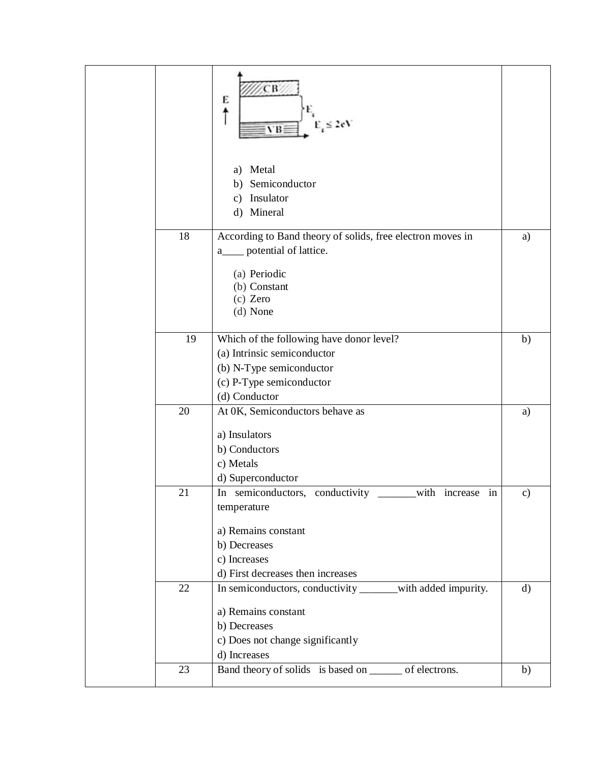|  |    | СB<br>E<br>$E_{\rm g} \leq 2 \text{eV}$<br>VB:                |               |
|--|----|---------------------------------------------------------------|---------------|
|  |    | Metal<br>a)<br>b) Semiconductor<br>c) Insulator<br>d) Mineral |               |
|  | 18 | According to Band theory of solids, free electron moves in    | a)            |
|  |    | a <sub>___</sub> potential of lattice.                        |               |
|  |    | (a) Periodic                                                  |               |
|  |    | (b) Constant<br>$(c)$ Zero                                    |               |
|  |    | (d) None                                                      |               |
|  |    |                                                               |               |
|  | 19 | Which of the following have donor level?                      | b)            |
|  |    | (a) Intrinsic semiconductor                                   |               |
|  |    | (b) N-Type semiconductor                                      |               |
|  |    | (c) P-Type semiconductor<br>(d) Conductor                     |               |
|  | 20 | At 0K, Semiconductors behave as                               | a)            |
|  |    |                                                               |               |
|  |    | a) Insulators                                                 |               |
|  |    | b) Conductors<br>c) Metals                                    |               |
|  |    | d) Superconductor                                             |               |
|  | 21 | with increase in<br>In semiconductors, conductivity           | $\mathbf{c})$ |
|  |    | temperature                                                   |               |
|  |    | a) Remains constant                                           |               |
|  |    | b) Decreases                                                  |               |
|  |    | c) Increases                                                  |               |
|  |    | d) First decreases then increases                             |               |
|  | 22 | In semiconductors, conductivity ______with added impurity.    | $\mathbf{d}$  |
|  |    | a) Remains constant                                           |               |
|  |    | b) Decreases                                                  |               |
|  |    | c) Does not change significantly                              |               |
|  |    | d) Increases                                                  |               |
|  | 23 | Band theory of solids is based on _______ of electrons.       | b)            |
|  |    |                                                               |               |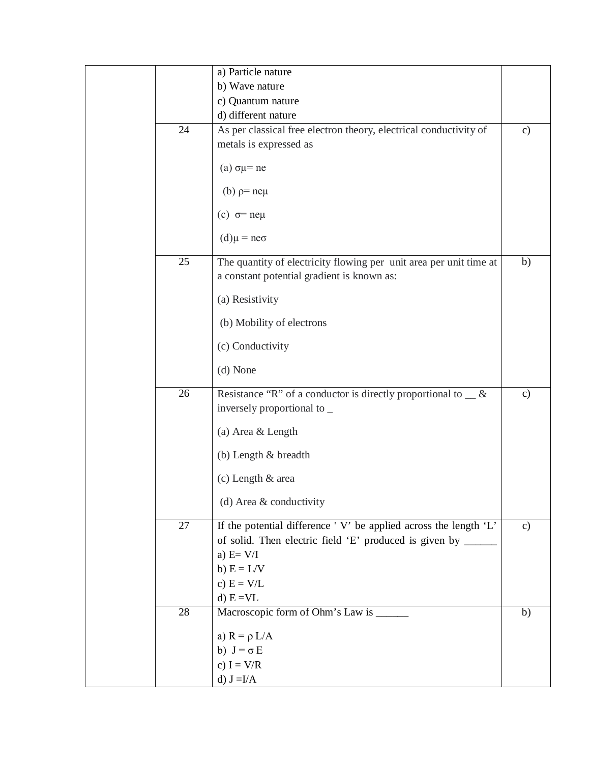|    | a) Particle nature                                                                                               |               |
|----|------------------------------------------------------------------------------------------------------------------|---------------|
|    | b) Wave nature                                                                                                   |               |
|    | c) Quantum nature                                                                                                |               |
|    | d) different nature                                                                                              |               |
| 24 | As per classical free electron theory, electrical conductivity of                                                | $\mathbf{c}$  |
|    | metals is expressed as                                                                                           |               |
|    | (a) $\sigma \mu$ = ne                                                                                            |               |
|    | (b) $p=ne\mu$                                                                                                    |               |
|    | (c) $\sigma$ = neµ                                                                                               |               |
|    | $(d)\mu = n e\sigma$                                                                                             |               |
| 25 | The quantity of electricity flowing per unit area per unit time at<br>a constant potential gradient is known as: | b)            |
|    | (a) Resistivity                                                                                                  |               |
|    | (b) Mobility of electrons                                                                                        |               |
|    | (c) Conductivity                                                                                                 |               |
|    | (d) None                                                                                                         |               |
| 26 | Resistance "R" of a conductor is directly proportional to $\_\&$ &<br>inversely proportional to _                | $\mathbf{c})$ |
|    | (a) Area & Length                                                                                                |               |
|    | (b) Length & breadth                                                                                             |               |
|    | (c) Length & area                                                                                                |               |
|    | (d) Area & conductivity                                                                                          |               |
| 27 | If the potential difference 'V' be applied across the length 'L'                                                 | $\mathbf{c}$  |
|    | of solid. Then electric field 'E' produced is given by ___                                                       |               |
|    | a) $E=V/I$                                                                                                       |               |
|    | b) $E = L/V$                                                                                                     |               |
|    | c) $E = V/L$                                                                                                     |               |
|    | $d) E = VL$                                                                                                      |               |
| 28 | Macroscopic form of Ohm's Law is ______                                                                          | b)            |
|    |                                                                                                                  |               |
|    | a) $R = \rho L/A$                                                                                                |               |
|    | b) $J = \sigma E$                                                                                                |               |
|    | c) $I = V/R$                                                                                                     |               |
|    | d) $J = I/A$                                                                                                     |               |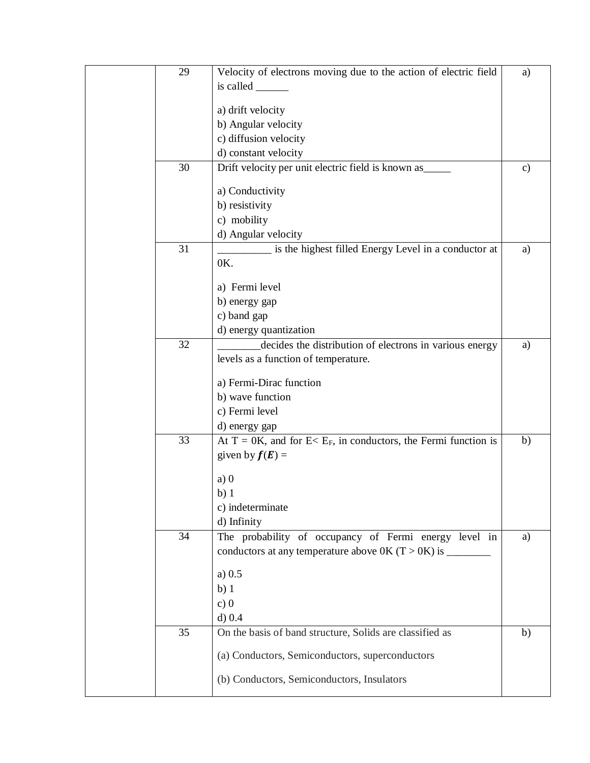| 29 | Velocity of electrons moving due to the action of electric field                  | a)            |
|----|-----------------------------------------------------------------------------------|---------------|
|    | is called $\_\_$                                                                  |               |
|    |                                                                                   |               |
|    | a) drift velocity<br>b) Angular velocity                                          |               |
|    | c) diffusion velocity                                                             |               |
|    | d) constant velocity                                                              |               |
| 30 | Drift velocity per unit electric field is known as_____                           | $\mathbf{c})$ |
|    |                                                                                   |               |
|    | a) Conductivity                                                                   |               |
|    | b) resistivity                                                                    |               |
|    | c) mobility                                                                       |               |
|    | d) Angular velocity                                                               |               |
| 31 | is the highest filled Energy Level in a conductor at                              | a)            |
|    | 0K.                                                                               |               |
|    | a) Fermi level                                                                    |               |
|    |                                                                                   |               |
|    | b) energy gap                                                                     |               |
|    | c) band gap                                                                       |               |
| 32 | d) energy quantization<br>decides the distribution of electrons in various energy | a)            |
|    | levels as a function of temperature.                                              |               |
|    |                                                                                   |               |
|    | a) Fermi-Dirac function                                                           |               |
|    | b) wave function                                                                  |               |
|    | c) Fermi level                                                                    |               |
|    | d) energy gap                                                                     |               |
| 33 | At T = 0K, and for E< $E_F$ , in conductors, the Fermi function is                | b)            |
|    | given by $f(E) =$                                                                 |               |
|    |                                                                                   |               |
|    | a)0                                                                               |               |
|    | b)1                                                                               |               |
|    | c) indeterminate                                                                  |               |
|    | d) Infinity                                                                       |               |
| 34 | The probability of occupancy of Fermi energy level in                             | a)            |
|    |                                                                                   |               |
|    | a) 0.5                                                                            |               |
|    | $b)$ 1                                                                            |               |
|    | c)0                                                                               |               |
|    | d) 0.4                                                                            |               |
| 35 | On the basis of band structure, Solids are classified as                          | b)            |
|    | (a) Conductors, Semiconductors, superconductors                                   |               |
|    |                                                                                   |               |
|    | (b) Conductors, Semiconductors, Insulators                                        |               |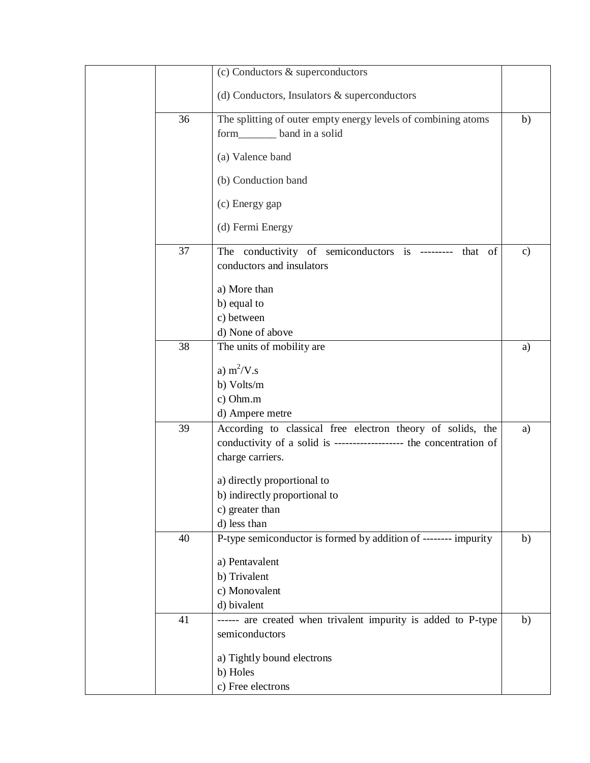|    | (c) Conductors & superconductors                                                                                                    |              |
|----|-------------------------------------------------------------------------------------------------------------------------------------|--------------|
|    |                                                                                                                                     |              |
|    | (d) Conductors, Insulators & superconductors                                                                                        |              |
| 36 | The splitting of outer empty energy levels of combining atoms                                                                       | b)           |
|    | form_________ band in a solid                                                                                                       |              |
|    | (a) Valence band                                                                                                                    |              |
|    |                                                                                                                                     |              |
|    | (b) Conduction band                                                                                                                 |              |
|    | (c) Energy gap                                                                                                                      |              |
|    | (d) Fermi Energy                                                                                                                    |              |
|    |                                                                                                                                     |              |
| 37 | The conductivity of semiconductors is --------- that of                                                                             | $\mathbf{c}$ |
|    | conductors and insulators                                                                                                           |              |
|    | a) More than                                                                                                                        |              |
|    | b) equal to                                                                                                                         |              |
|    | c) between                                                                                                                          |              |
|    | d) None of above                                                                                                                    |              |
| 38 | The units of mobility are                                                                                                           | a)           |
|    | a) $m^2/V$ .s                                                                                                                       |              |
|    |                                                                                                                                     |              |
|    | b) Volts/m                                                                                                                          |              |
|    | c) Ohm.m                                                                                                                            |              |
| 39 | d) Ampere metre                                                                                                                     |              |
|    | According to classical free electron theory of solids, the<br>conductivity of a solid is --------------------- the concentration of | a)           |
|    |                                                                                                                                     |              |
|    | charge carriers.                                                                                                                    |              |
|    | a) directly proportional to                                                                                                         |              |
|    | b) indirectly proportional to                                                                                                       |              |
|    | c) greater than                                                                                                                     |              |
|    | d) less than                                                                                                                        |              |
| 40 | P-type semiconductor is formed by addition of -------- impurity                                                                     | b)           |
|    | a) Pentavalent                                                                                                                      |              |
|    | b) Trivalent                                                                                                                        |              |
|    | c) Monovalent                                                                                                                       |              |
|    | d) bivalent                                                                                                                         |              |
| 41 | ------ are created when trivalent impurity is added to P-type                                                                       | b)           |
|    | semiconductors                                                                                                                      |              |
|    | a) Tightly bound electrons                                                                                                          |              |
|    |                                                                                                                                     |              |
|    | b) Holes                                                                                                                            |              |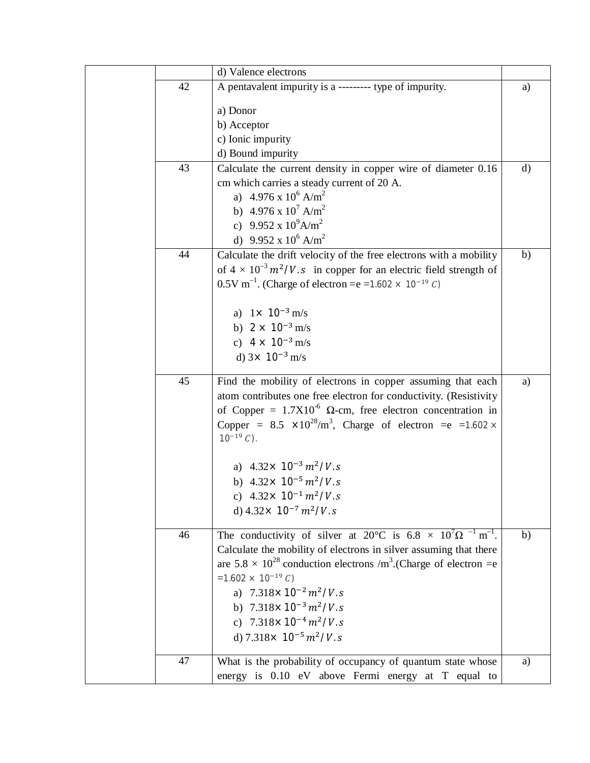|    | d) Valence electrons                                                                            |              |
|----|-------------------------------------------------------------------------------------------------|--------------|
| 42 | A pentavalent impurity is a --------- type of impurity.                                         | a)           |
|    | a) Donor                                                                                        |              |
|    | b) Acceptor                                                                                     |              |
|    | c) Ionic impurity                                                                               |              |
|    | d) Bound impurity                                                                               |              |
| 43 | Calculate the current density in copper wire of diameter 0.16                                   | $\mathbf{d}$ |
|    | cm which carries a steady current of 20 A.                                                      |              |
|    | a) $4.976 \times 10^6$ A/m <sup>2</sup>                                                         |              |
|    | b) 4.976 x $10^7$ A/m <sup>2</sup>                                                              |              |
|    | c) 9.952 x $10^9$ A/m <sup>2</sup>                                                              |              |
|    | d) 9.952 x $10^6$ A/m <sup>2</sup>                                                              |              |
| 44 | Calculate the drift velocity of the free electrons with a mobility                              | b)           |
|    | of $4 \times 10^{-3}$ $m^2/V$ . s in copper for an electric field strength of                   |              |
|    | 0.5V m <sup>-1</sup> . (Charge of electron = e = 1.602 $\times$ 10 <sup>-19</sup> C)            |              |
|    |                                                                                                 |              |
|    | a) $1 \times 10^{-3}$ m/s                                                                       |              |
|    | b) $2 \times 10^{-3}$ m/s                                                                       |              |
|    | c) $4 \times 10^{-3}$ m/s                                                                       |              |
|    | d) $3 \times 10^{-3}$ m/s                                                                       |              |
| 45 | Find the mobility of electrons in copper assuming that each                                     | a)           |
|    | atom contributes one free electron for conductivity. (Resistivity                               |              |
|    | of Copper = $1.7X10^{-6}$ Ω-cm, free electron concentration in                                  |              |
|    | Copper = $8.5 \times 10^{28}/m^3$ , Charge of electron = e = 1.602 ×                            |              |
|    | $10^{-19} C$ ).                                                                                 |              |
|    | a) $4.32 \times 10^{-3} m^2/V$ . s                                                              |              |
|    | b) $4.32 \times 10^{-5} m^2/V.s$                                                                |              |
|    |                                                                                                 |              |
|    | c) $4.32 \times 10^{-1} m^2/V$ . s<br>d) $4.32 \times 10^{-7} m^2/V$ . s                        |              |
|    |                                                                                                 |              |
| 46 | The conductivity of silver at $20^{\circ}$ C is $6.8 \times 10^7 \Omega^{-1}$ m <sup>-1</sup> . | b)           |
|    | Calculate the mobility of electrons in silver assuming that there                               |              |
|    | are $5.8 \times 10^{28}$ conduction electrons /m <sup>3</sup> .(Charge of electron =e           |              |
|    | $=1.602 \times 10^{-19} C$                                                                      |              |
|    | a) $7.318 \times 10^{-2} m^2/V$ . s                                                             |              |
|    | b) $7.318 \times 10^{-3} m^2/V$ . s                                                             |              |
|    | c) $7.318 \times 10^{-4} m^2/V$ . s                                                             |              |
|    | d) $7.318 \times 10^{-5} m^2/V$ . s                                                             |              |
| 47 | What is the probability of occupancy of quantum state whose                                     | a)           |
|    | energy is 0.10 eV above Fermi energy at T equal to                                              |              |
|    |                                                                                                 |              |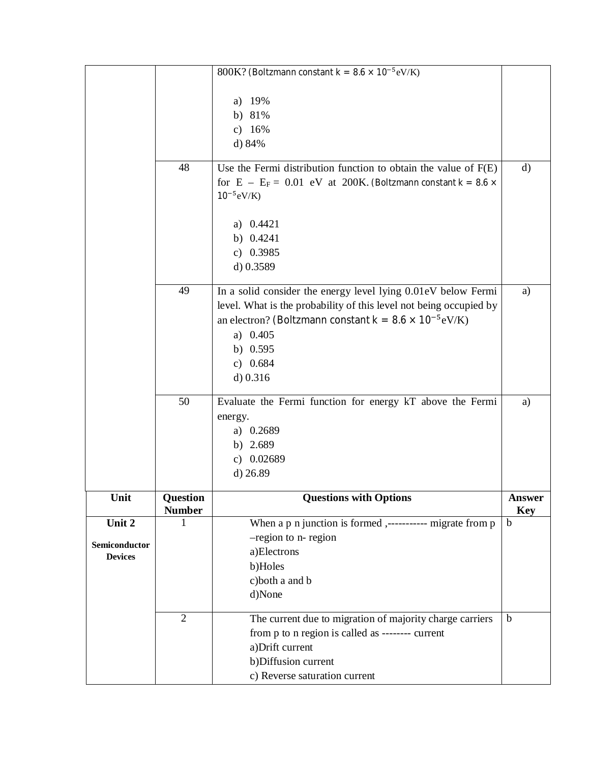|                                 |                           | 800K? (Boltzmann constant $k = 8.6 \times 10^{-5}$ eV/K)              |                             |
|---------------------------------|---------------------------|-----------------------------------------------------------------------|-----------------------------|
|                                 |                           |                                                                       |                             |
|                                 |                           | a) $19%$                                                              |                             |
|                                 |                           | b) $81%$                                                              |                             |
|                                 |                           | c) $16%$                                                              |                             |
|                                 |                           | d) 84%                                                                |                             |
|                                 |                           |                                                                       |                             |
|                                 | 48                        | Use the Fermi distribution function to obtain the value of $F(E)$     | $\mathbf{d}$                |
|                                 |                           | for $E - E_F = 0.01$ eV at 200K. (Boltzmann constant $k = 8.6 \times$ |                             |
|                                 |                           | $10^{-5}$ eV/K)                                                       |                             |
|                                 |                           |                                                                       |                             |
|                                 |                           | a) $0.4421$                                                           |                             |
|                                 |                           | b) $0.4241$                                                           |                             |
|                                 |                           | c) $0.3985$                                                           |                             |
|                                 |                           | $d)$ 0.3589                                                           |                             |
|                                 | 49                        | In a solid consider the energy level lying 0.01eV below Fermi         | a)                          |
|                                 |                           | level. What is the probability of this level not being occupied by    |                             |
|                                 |                           | an electron? (Boltzmann constant $k = 8.6 \times 10^{-5} eV/K$ )      |                             |
|                                 |                           | a) $0.405$                                                            |                             |
|                                 |                           | b) $0.595$                                                            |                             |
|                                 |                           | c) $0.684$                                                            |                             |
|                                 |                           | d) 0.316                                                              |                             |
|                                 |                           |                                                                       |                             |
|                                 | 50                        | Evaluate the Fermi function for energy kT above the Fermi             | a)                          |
|                                 |                           | energy.                                                               |                             |
|                                 |                           | a) 0.2689                                                             |                             |
|                                 |                           | b) $2.689$                                                            |                             |
|                                 |                           | c) $0.02689$                                                          |                             |
|                                 |                           | $d)$ 26.89                                                            |                             |
|                                 |                           |                                                                       |                             |
| Unit                            | Question<br><b>Number</b> | <b>Questions with Options</b>                                         | <b>Answer</b><br><b>Key</b> |
| Unit 2                          | 1                         | When a p n junction is formed ,---------- migrate from p              | $\mathbf b$                 |
|                                 |                           | -region to n- region                                                  |                             |
| Semiconductor<br><b>Devices</b> |                           | a)Electrons                                                           |                             |
|                                 |                           | b)Holes                                                               |                             |
|                                 |                           | c)both a and b                                                        |                             |
|                                 |                           | d)None                                                                |                             |
|                                 |                           |                                                                       |                             |
|                                 | $\overline{2}$            | The current due to migration of majority charge carriers              | $\mathbf b$                 |
|                                 |                           | from p to n region is called as -------- current                      |                             |
|                                 |                           | a) Drift current                                                      |                             |
|                                 |                           | b)Diffusion current                                                   |                             |
|                                 |                           | c) Reverse saturation current                                         |                             |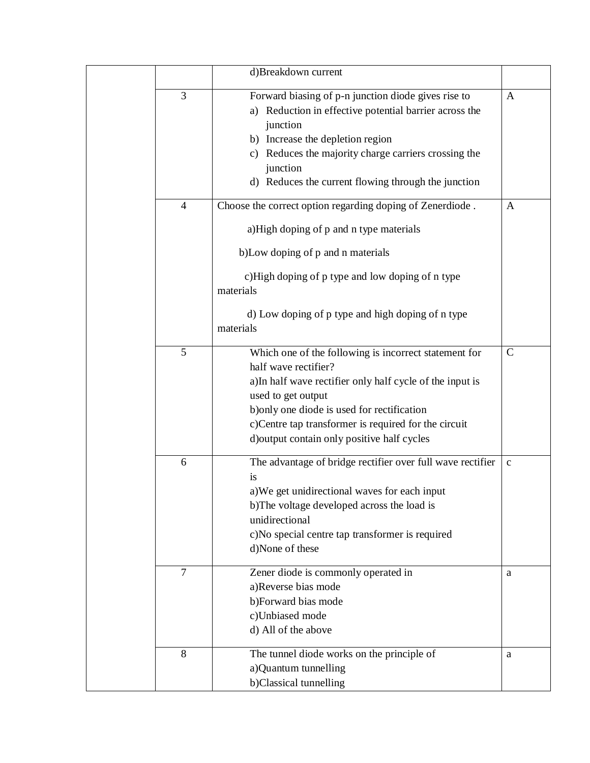|                | d)Breakdown current                                                                                                       |               |
|----------------|---------------------------------------------------------------------------------------------------------------------------|---------------|
| 3              | Forward biasing of p-n junction diode gives rise to<br>a) Reduction in effective potential barrier across the<br>junction | A             |
|                | b) Increase the depletion region<br>c) Reduces the majority charge carriers crossing the                                  |               |
|                | junction<br>d) Reduces the current flowing through the junction                                                           |               |
| $\overline{4}$ | Choose the correct option regarding doping of Zenerdiode.                                                                 | A             |
|                | a)High doping of p and n type materials                                                                                   |               |
|                | b) Low doping of p and n materials                                                                                        |               |
|                | c)High doping of p type and low doping of n type<br>materials                                                             |               |
|                | d) Low doping of p type and high doping of n type<br>materials                                                            |               |
| 5              | Which one of the following is incorrect statement for<br>half wave rectifier?                                             | $\mathcal{C}$ |
|                | a)In half wave rectifier only half cycle of the input is<br>used to get output                                            |               |
|                | b) only one diode is used for rectification                                                                               |               |
|                | c)Centre tap transformer is required for the circuit<br>d) output contain only positive half cycles                       |               |
| 6              | The advantage of bridge rectifier over full wave rectifier<br>is                                                          | $\mathbf c$   |
|                | a) We get unidirectional waves for each input                                                                             |               |
|                | b)The voltage developed across the load is<br>unidirectional                                                              |               |
|                | c)No special centre tap transformer is required<br>d)None of these                                                        |               |
| $\overline{7}$ | Zener diode is commonly operated in                                                                                       | a             |
|                | a)Reverse bias mode<br>b)Forward bias mode                                                                                |               |
|                | c)Unbiased mode                                                                                                           |               |
|                | d) All of the above                                                                                                       |               |
| 8              | The tunnel diode works on the principle of                                                                                | a             |
|                | a)Quantum tunnelling<br>b)Classical tunnelling                                                                            |               |
|                |                                                                                                                           |               |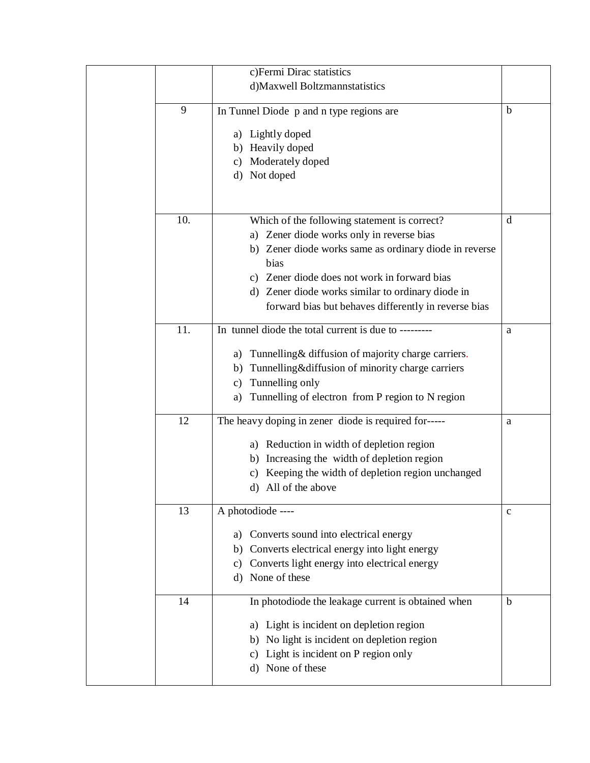|     | c) Fermi Dirac statistics                                       |              |
|-----|-----------------------------------------------------------------|--------------|
|     | d)Maxwell Boltzmannstatistics                                   |              |
|     |                                                                 |              |
| 9   | In Tunnel Diode p and n type regions are                        | b            |
|     | a) Lightly doped                                                |              |
|     | b) Heavily doped                                                |              |
|     | Moderately doped<br>C)                                          |              |
|     | d) Not doped                                                    |              |
|     |                                                                 |              |
|     |                                                                 |              |
| 10. | Which of the following statement is correct?                    | d            |
|     | a) Zener diode works only in reverse bias                       |              |
|     | b) Zener diode works same as ordinary diode in reverse          |              |
|     | bias                                                            |              |
|     | c) Zener diode does not work in forward bias                    |              |
|     | d) Zener diode works similar to ordinary diode in               |              |
|     | forward bias but behaves differently in reverse bias            |              |
|     |                                                                 |              |
| 11. | In tunnel diode the total current is due to --------            | a            |
|     | a) Tunnelling & diffusion of majority charge carriers.          |              |
|     | Tunnelling&diffusion of minority charge carriers<br>b)          |              |
|     | Tunnelling only                                                 |              |
|     | C)                                                              |              |
|     | Tunnelling of electron from P region to N region<br>a)          |              |
| 12  | The heavy doping in zener diode is required for-----            | a            |
|     |                                                                 |              |
|     | a) Reduction in width of depletion region                       |              |
|     | Increasing the width of depletion region<br>b)                  |              |
|     | Keeping the width of depletion region unchanged<br>c)           |              |
|     | All of the above<br>d)                                          |              |
| 13  | A photodiode ----                                               | $\mathbf{C}$ |
|     | Converts sound into electrical energy<br>a)                     |              |
|     |                                                                 |              |
|     | Converts electrical energy into light energy<br>b)              |              |
|     | Converts light energy into electrical energy<br>$\mathcal{C}$ ) |              |
|     | None of these<br>d)                                             |              |
| 14  | In photodiode the leakage current is obtained when              | b            |
|     |                                                                 |              |
|     | a) Light is incident on depletion region                        |              |
|     | No light is incident on depletion region<br>b)                  |              |
|     | Light is incident on P region only<br>C)                        |              |
|     | None of these<br>d)                                             |              |
|     |                                                                 |              |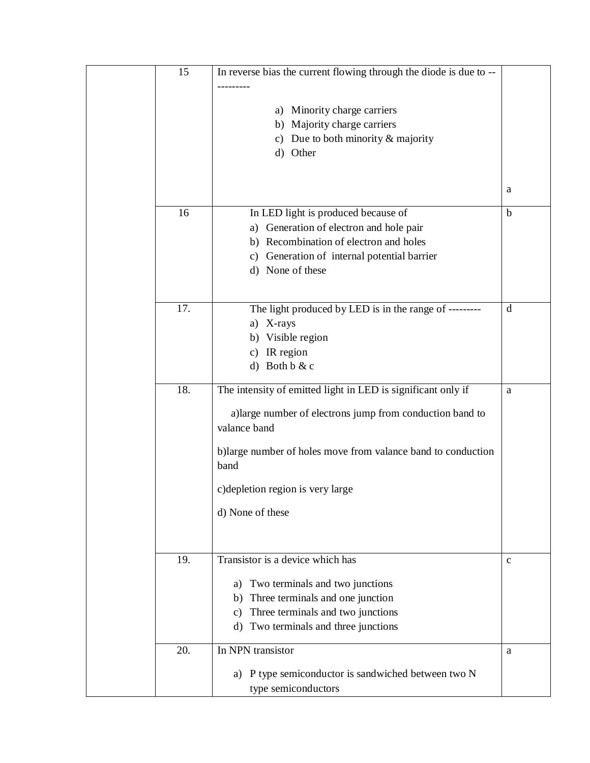| 15  | In reverse bias the current flowing through the diode is due to -- |              |
|-----|--------------------------------------------------------------------|--------------|
|     |                                                                    |              |
|     |                                                                    |              |
|     | Minority charge carriers<br>a)                                     |              |
|     | b) Majority charge carriers                                        |              |
|     | c) Due to both minority $&$ majority                               |              |
|     | d) Other                                                           |              |
|     |                                                                    |              |
|     |                                                                    | a            |
|     |                                                                    |              |
| 16  | In LED light is produced because of                                | $\mathbf b$  |
|     | Generation of electron and hole pair<br>a)                         |              |
|     | b) Recombination of electron and holes                             |              |
|     | Generation of internal potential barrier<br>c)                     |              |
|     | d) None of these                                                   |              |
|     |                                                                    |              |
|     |                                                                    |              |
| 17. | The light produced by LED is in the range of ---------             | d            |
|     | X-rays<br>a)                                                       |              |
|     | Visible region<br>b)                                               |              |
|     | IR region<br>c)                                                    |              |
|     | Both b & c<br>$\rm d$                                              |              |
| 18. | The intensity of emitted light in LED is significant only if       | a            |
|     |                                                                    |              |
|     | a) large number of electrons jump from conduction band to          |              |
|     | valance band                                                       |              |
|     |                                                                    |              |
|     | b)large number of holes move from valance band to conduction       |              |
|     | band                                                               |              |
|     | c) depletion region is very large                                  |              |
|     |                                                                    |              |
|     | d) None of these                                                   |              |
|     |                                                                    |              |
|     |                                                                    |              |
| 19. | Transistor is a device which has                                   | $\mathbf{C}$ |
|     |                                                                    |              |
|     | Two terminals and two junctions<br>a)                              |              |
|     | Three terminals and one junction<br>b)                             |              |
|     | Three terminals and two junctions<br>c)                            |              |
|     | Two terminals and three junctions<br>d)                            |              |
| 20. | In NPN transistor                                                  | a            |
|     |                                                                    |              |
|     | a) P type semiconductor is sandwiched between two N                |              |
|     | type semiconductors                                                |              |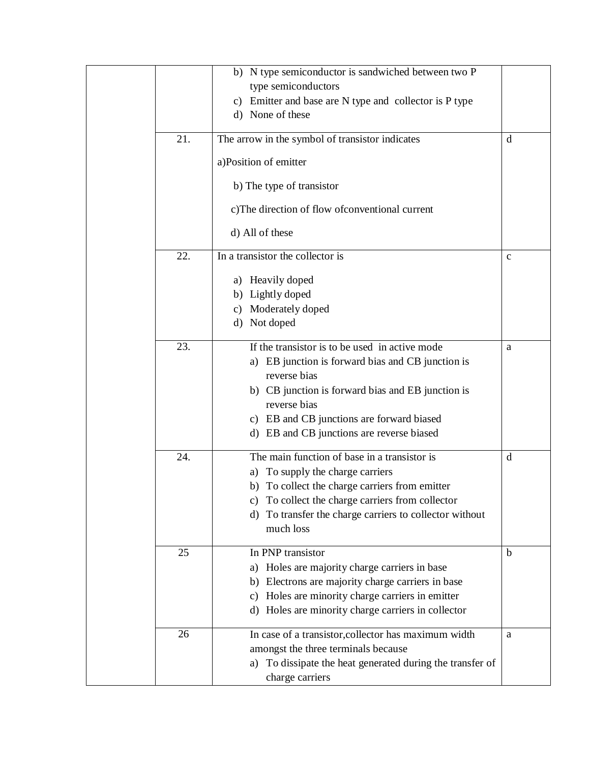|     | b) N type semiconductor is sandwiched between two P          |             |
|-----|--------------------------------------------------------------|-------------|
|     | type semiconductors                                          |             |
|     | c) Emitter and base are N type and collector is P type       |             |
|     | d) None of these                                             |             |
| 21. | The arrow in the symbol of transistor indicates              | d           |
|     |                                                              |             |
|     | a)Position of emitter                                        |             |
|     | b) The type of transistor                                    |             |
|     | c)The direction of flow of conventional current              |             |
|     | d) All of these                                              |             |
| 22. | In a transistor the collector is                             | $\mathbf c$ |
|     |                                                              |             |
|     | a) Heavily doped                                             |             |
|     | b) Lightly doped                                             |             |
|     | c) Moderately doped                                          |             |
|     | d) Not doped                                                 |             |
| 23. | If the transistor is to be used in active mode               | a           |
|     | a) EB junction is forward bias and CB junction is            |             |
|     | reverse bias                                                 |             |
|     | b) CB junction is forward bias and EB junction is            |             |
|     | reverse bias                                                 |             |
|     | c) EB and CB junctions are forward biased                    |             |
|     | d) EB and CB junctions are reverse biased                    |             |
|     |                                                              |             |
| 24. | The main function of base in a transistor is                 | d           |
|     | a) To supply the charge carriers                             |             |
|     | b) To collect the charge carriers from emitter               |             |
|     | c) To collect the charge carriers from collector             |             |
|     | To transfer the charge carriers to collector without<br>d)   |             |
|     | much loss                                                    |             |
| 25  | In PNP transistor                                            | b           |
|     | Holes are majority charge carriers in base<br>a)             |             |
|     | b) Electrons are majority charge carriers in base            |             |
|     | Holes are minority charge carriers in emitter<br>C)          |             |
|     | Holes are minority charge carriers in collector<br>d)        |             |
|     |                                                              |             |
| 26  | In case of a transistor, collector has maximum width         | a           |
|     | amongst the three terminals because                          |             |
|     | To dissipate the heat generated during the transfer of<br>a) |             |
|     | charge carriers                                              |             |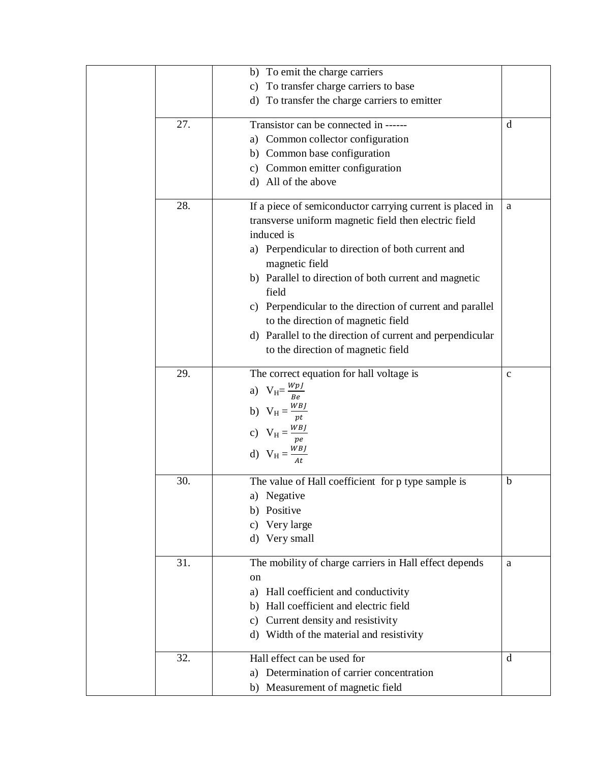|     | b) To emit the charge carriers                            |              |
|-----|-----------------------------------------------------------|--------------|
|     | To transfer charge carriers to base<br>c)                 |              |
|     | d) To transfer the charge carriers to emitter             |              |
| 27. | Transistor can be connected in ------                     | $\mathbf d$  |
|     | a) Common collector configuration                         |              |
|     | b) Common base configuration                              |              |
|     | c) Common emitter configuration                           |              |
|     | All of the above<br>d)                                    |              |
| 28. | If a piece of semiconductor carrying current is placed in | a            |
|     | transverse uniform magnetic field then electric field     |              |
|     | induced is                                                |              |
|     | a) Perpendicular to direction of both current and         |              |
|     | magnetic field                                            |              |
|     | b) Parallel to direction of both current and magnetic     |              |
|     | field                                                     |              |
|     | c) Perpendicular to the direction of current and parallel |              |
|     | to the direction of magnetic field                        |              |
|     | d) Parallel to the direction of current and perpendicular |              |
|     | to the direction of magnetic field                        |              |
| 29. | The correct equation for hall voltage is                  | $\mathbf{C}$ |
|     | a) $V_H = \frac{WpJ}{Be}$                                 |              |
|     |                                                           |              |
|     | b) $V_H = \frac{WBJ}{pt}$                                 |              |
|     | c) $V_H = \frac{WBJ}{pe}$                                 |              |
|     |                                                           |              |
|     | d) $V_H = \frac{WBJ}{4t}$                                 |              |
| 30. | The value of Hall coefficient for p type sample is        | $\mathbf b$  |
|     | a) Negative                                               |              |
|     | Positive<br>b)                                            |              |
|     | Very large<br>c)                                          |              |
|     | Very small<br>d)                                          |              |
| 31. | The mobility of charge carriers in Hall effect depends    | a            |
|     | on                                                        |              |
|     | Hall coefficient and conductivity<br>a)                   |              |
|     | Hall coefficient and electric field<br>b)                 |              |
|     | Current density and resistivity<br>C)                     |              |
|     | Width of the material and resistivity<br>d)               |              |
| 32. | Hall effect can be used for                               | d            |
|     | Determination of carrier concentration<br>a)              |              |
|     | b) Measurement of magnetic field                          |              |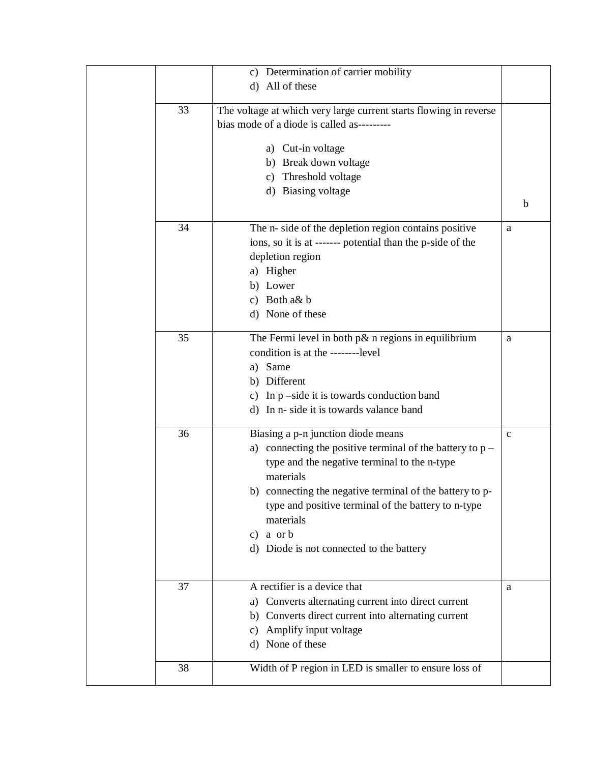|    | c) Determination of carrier mobility                              |              |
|----|-------------------------------------------------------------------|--------------|
|    | d) All of these                                                   |              |
|    |                                                                   |              |
| 33 | The voltage at which very large current starts flowing in reverse |              |
|    | bias mode of a diode is called as---------                        |              |
|    |                                                                   |              |
|    | a) Cut-in voltage                                                 |              |
|    | b) Break down voltage                                             |              |
|    | c) Threshold voltage                                              |              |
|    | d) Biasing voltage                                                |              |
|    |                                                                   | $\mathbf b$  |
|    |                                                                   |              |
| 34 | The n- side of the depletion region contains positive             | a            |
|    | ions, so it is at ------- potential than the p-side of the        |              |
|    | depletion region                                                  |              |
|    | a) Higher                                                         |              |
|    | b) Lower                                                          |              |
|    | c) Both a& b                                                      |              |
|    | d) None of these                                                  |              |
|    |                                                                   |              |
| 35 | The Fermi level in both $p\&$ n regions in equilibrium            | a            |
|    | condition is at the --------level                                 |              |
|    | a) Same                                                           |              |
|    | b) Different                                                      |              |
|    | c) In $p$ –side it is towards conduction band                     |              |
|    | d) In n- side it is towards valance band                          |              |
|    |                                                                   |              |
| 36 | Biasing a p-n junction diode means                                | $\mathbf{C}$ |
|    | a) connecting the positive terminal of the battery to $p -$       |              |
|    | type and the negative terminal to the n-type                      |              |
|    | materials                                                         |              |
|    | b) connecting the negative terminal of the battery to p-          |              |
|    | type and positive terminal of the battery to n-type               |              |
|    | materials                                                         |              |
|    | c) a orb                                                          |              |
|    | d) Diode is not connected to the battery                          |              |
|    |                                                                   |              |
|    |                                                                   |              |
| 37 | A rectifier is a device that                                      | a            |
|    | Converts alternating current into direct current<br>a)            |              |
|    | b) Converts direct current into alternating current               |              |
|    | Amplify input voltage<br>C)                                       |              |
|    | d) None of these                                                  |              |
|    |                                                                   |              |
| 38 | Width of P region in LED is smaller to ensure loss of             |              |
|    |                                                                   |              |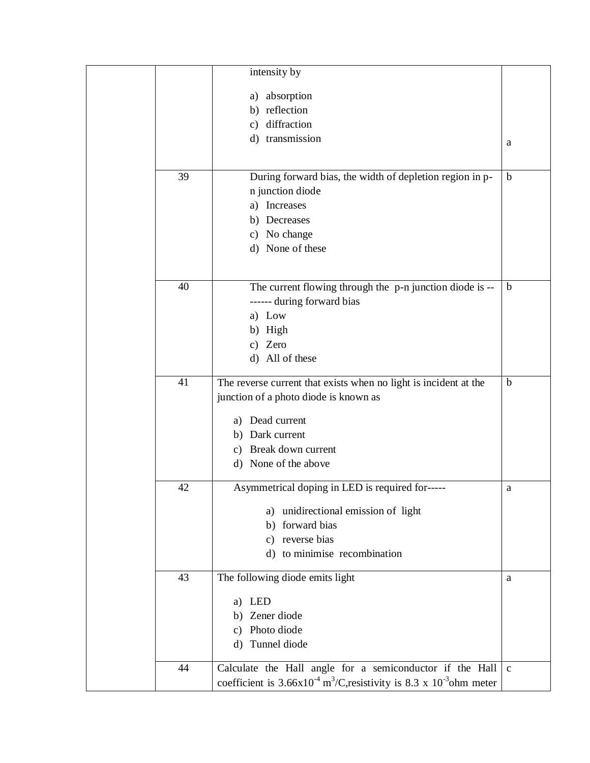|    | intensity by                                                                                            |              |
|----|---------------------------------------------------------------------------------------------------------|--------------|
|    | absorption<br>a)                                                                                        |              |
|    | b) reflection                                                                                           |              |
|    | c) diffraction                                                                                          |              |
|    | d) transmission                                                                                         | a            |
|    |                                                                                                         |              |
| 39 | During forward bias, the width of depletion region in p-                                                | b            |
|    | n junction diode                                                                                        |              |
|    | a) Increases                                                                                            |              |
|    | Decreases<br>b)                                                                                         |              |
|    | c) No change                                                                                            |              |
|    | d) None of these                                                                                        |              |
|    |                                                                                                         |              |
|    |                                                                                                         |              |
| 40 | The current flowing through the p-n junction diode is --                                                | b            |
|    | ------ during forward bias                                                                              |              |
|    | a) Low<br>b) High                                                                                       |              |
|    | c) Zero                                                                                                 |              |
|    | d) All of these                                                                                         |              |
|    |                                                                                                         |              |
| 41 | The reverse current that exists when no light is incident at the                                        | $\mathbf b$  |
|    | junction of a photo diode is known as                                                                   |              |
|    | Dead current<br>a)                                                                                      |              |
|    | b) Dark current                                                                                         |              |
|    | c) Break down current                                                                                   |              |
|    | d) None of the above                                                                                    |              |
|    |                                                                                                         |              |
| 42 | Asymmetrical doping in LED is required for-----                                                         | a            |
|    | unidirectional emission of light<br>a)                                                                  |              |
|    | forward bias<br>b)                                                                                      |              |
|    | reverse bias<br>$\mathcal{C}$ )                                                                         |              |
|    | d) to minimise recombination                                                                            |              |
| 43 | The following diode emits light                                                                         | a            |
|    |                                                                                                         |              |
|    | LED<br>a)                                                                                               |              |
|    | b) Zener diode                                                                                          |              |
|    | Photo diode<br>C)                                                                                       |              |
|    | Tunnel diode<br>d)                                                                                      |              |
| 44 | Calculate the Hall angle for a semiconductor if the Hall                                                | $\mathbf{c}$ |
|    | coefficient is $3.66 \times 10^{-4}$ m <sup>3</sup> /C, resistivity is 8.3 x 10 <sup>-3</sup> ohm meter |              |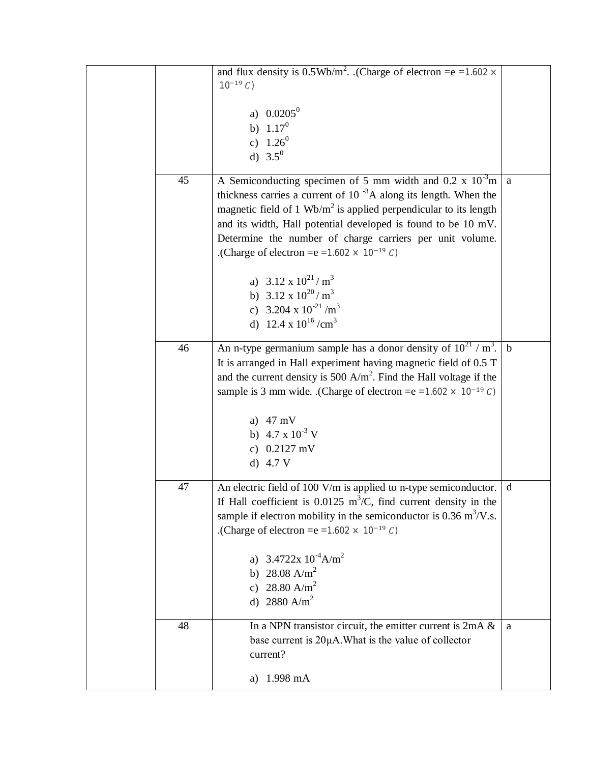|    | and flux density is $0.5 \text{Wb/m}^2$ . (Charge of electron = e = 1.602 $\times$<br>$10^{-19} C$                                                                                                                                                                                                                                                                                                                                                                                                                                                                            |              |
|----|-------------------------------------------------------------------------------------------------------------------------------------------------------------------------------------------------------------------------------------------------------------------------------------------------------------------------------------------------------------------------------------------------------------------------------------------------------------------------------------------------------------------------------------------------------------------------------|--------------|
|    | a) $0.0205^0$<br>b) $1.17^0$<br>c) $1.26^0$<br>d) $3.5^0$                                                                                                                                                                                                                                                                                                                                                                                                                                                                                                                     |              |
| 45 | A Semiconducting specimen of 5 mm width and $0.2 \times 10^{-3}$ m<br>thickness carries a current of $10^{-3}$ A along its length. When the<br>magnetic field of 1 $Wb/m^2$ is applied perpendicular to its length<br>and its width, Hall potential developed is found to be 10 mV.<br>Determine the number of charge carriers per unit volume.<br>.(Charge of electron = $e = 1.602 \times 10^{-19} C$ ).<br>a) $3.12 \times 10^{21} / \text{m}^3$<br>b) $3.12 \times 10^{20} / \text{m}^3$<br>c) 3.204 x $10^{-21}$ /m <sup>3</sup><br>d) 12.4 x $10^{16}$ /cm <sup>3</sup> | $\mathbf{a}$ |
| 46 | An n-type germanium sample has a donor density of $10^{21}$ / m <sup>3</sup> .<br>It is arranged in Hall experiment having magnetic field of 0.5 T<br>and the current density is 500 $A/m^2$ . Find the Hall voltage if the<br>sample is 3 mm wide. (Charge of electron = $e = 1.602 \times 10^{-19} C$ )<br>a) $47 \text{ mV}$<br>b) $4.7 \times 10^{-3}$ V<br>c) $0.2127$ mV<br>d) $4.7 V$                                                                                                                                                                                  | $\mathbf b$  |
| 47 | An electric field of 100 V/m is applied to n-type semiconductor.<br>If Hall coefficient is 0.0125 $m^3/C$ , find current density in the<br>sample if electron mobility in the semiconductor is $0.36 \text{ m}^3/\text{V}$ .s.<br>.(Charge of electron = $e = 1.602 \times 10^{-19} C$ ).<br>$3.4722x 10^{-4} A/m^2$<br>b) 28.08 A/m <sup>2</sup><br>c) 28.80 A/m <sup>2</sup><br>d) 2880 A/m <sup>2</sup>                                                                                                                                                                    | d            |
| 48 | In a NPN transistor circuit, the emitter current is $2mA &$<br>base current is 20µA. What is the value of collector<br>current?<br>$1.998$ mA<br>a)                                                                                                                                                                                                                                                                                                                                                                                                                           | a            |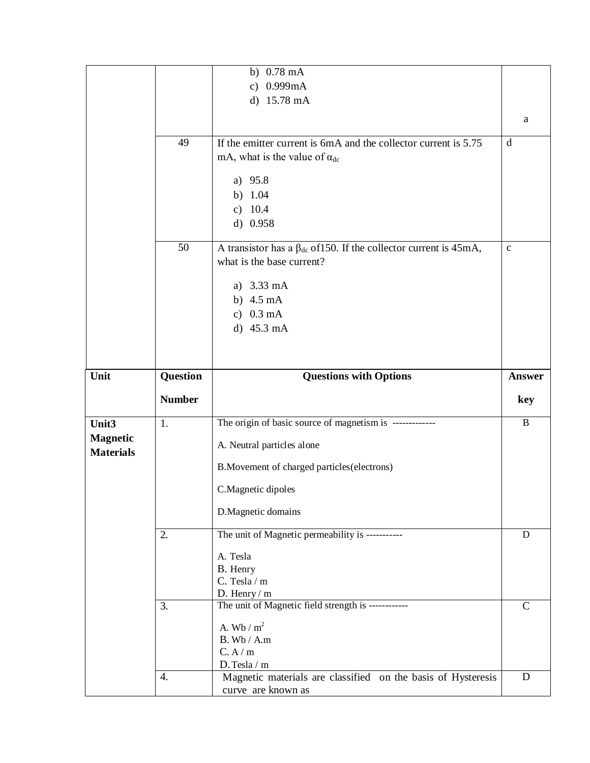|                  |               | b) $0.78 \text{ mA}$                                                      |               |
|------------------|---------------|---------------------------------------------------------------------------|---------------|
|                  |               | c) 0.999mA                                                                |               |
|                  |               |                                                                           |               |
|                  |               | d) 15.78 mA                                                               |               |
|                  |               |                                                                           | a             |
|                  |               |                                                                           |               |
|                  | 49            | If the emitter current is 6mA and the collector current is 5.75           | d             |
|                  |               | mA, what is the value of $\alpha_{dc}$                                    |               |
|                  |               |                                                                           |               |
|                  |               | a) 95.8                                                                   |               |
|                  |               | b) $1.04$                                                                 |               |
|                  |               | c) $10.4$                                                                 |               |
|                  |               | d) $0.958$                                                                |               |
|                  |               |                                                                           |               |
|                  | 50            | A transistor has a $\beta_{dc}$ of 150. If the collector current is 45mA, | $\mathbf{C}$  |
|                  |               | what is the base current?                                                 |               |
|                  |               | a) 3.33 mA                                                                |               |
|                  |               | b) $4.5 \text{ mA}$                                                       |               |
|                  |               |                                                                           |               |
|                  |               | c) $0.3 \text{ mA}$                                                       |               |
|                  |               | d) 45.3 mA                                                                |               |
|                  |               |                                                                           |               |
|                  |               |                                                                           |               |
| Unit             | Question      | <b>Questions with Options</b>                                             | <b>Answer</b> |
|                  |               |                                                                           |               |
|                  |               |                                                                           |               |
|                  | <b>Number</b> |                                                                           | key           |
| Unit3            | 1.            | The origin of basic source of magnetism is -------------                  | $\, {\bf B}$  |
| <b>Magnetic</b>  |               |                                                                           |               |
| <b>Materials</b> |               | A. Neutral particles alone                                                |               |
|                  |               | B. Movement of charged particles (electrons)                              |               |
|                  |               |                                                                           |               |
|                  |               | C.Magnetic dipoles                                                        |               |
|                  |               | D.Magnetic domains                                                        |               |
|                  |               |                                                                           |               |
|                  | 2.            | The unit of Magnetic permeability is -----------                          | D             |
|                  |               | A. Tesla                                                                  |               |
|                  |               | B. Henry                                                                  |               |
|                  |               | C. Tesla / m                                                              |               |
|                  |               | D. Henry $/m$                                                             |               |
|                  | 3.            | The unit of Magnetic field strength is ------------                       | $\mathcal{C}$ |
|                  |               |                                                                           |               |
|                  |               | A. Wb / $m^2$<br>$B.$ Wb / A.m                                            |               |
|                  |               | C.A/m                                                                     |               |
|                  |               | D. Tesla / m                                                              |               |
|                  | 4.            | Magnetic materials are classified on the basis of Hysteresis              | D             |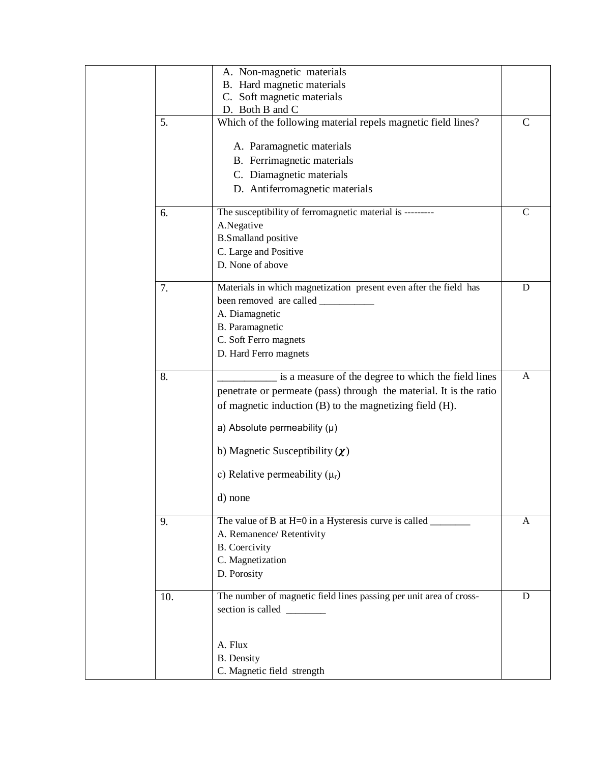|     | A. Non-magnetic materials                                           |               |
|-----|---------------------------------------------------------------------|---------------|
|     | B. Hard magnetic materials                                          |               |
|     | C. Soft magnetic materials                                          |               |
|     | D. Both B and C                                                     |               |
| 5.  | Which of the following material repels magnetic field lines?        | $\mathcal{C}$ |
|     | A. Paramagnetic materials                                           |               |
|     | B. Ferrimagnetic materials                                          |               |
|     | C. Diamagnetic materials                                            |               |
|     | D. Antiferromagnetic materials                                      |               |
|     |                                                                     |               |
| 6.  | The susceptibility of ferromagnetic material is ---------           | $\mathsf{C}$  |
|     | A.Negative                                                          |               |
|     | <b>B.Smalland positive</b>                                          |               |
|     | C. Large and Positive                                               |               |
|     | D. None of above                                                    |               |
|     |                                                                     |               |
| 7.  | Materials in which magnetization present even after the field has   | D             |
|     |                                                                     |               |
|     | A. Diamagnetic                                                      |               |
|     | B. Paramagnetic                                                     |               |
|     | C. Soft Ferro magnets                                               |               |
|     | D. Hard Ferro magnets                                               |               |
|     |                                                                     |               |
| 8.  | is a measure of the degree to which the field lines                 | A             |
|     | penetrate or permeate (pass) through the material. It is the ratio  |               |
|     | of magnetic induction (B) to the magnetizing field (H).             |               |
|     |                                                                     |               |
|     | a) Absolute permeability $(\mu)$                                    |               |
|     | b) Magnetic Susceptibility $(\chi)$                                 |               |
|     |                                                                     |               |
|     | c) Relative permeability $(\mu_r)$                                  |               |
|     | d) none                                                             |               |
| 9.  | The value of B at H=0 in a Hysteresis curve is called $\frac{ }{ }$ | A             |
|     | A. Remanence/ Retentivity                                           |               |
|     | <b>B.</b> Coercivity                                                |               |
|     | C. Magnetization                                                    |               |
|     | D. Porosity                                                         |               |
|     |                                                                     |               |
| 10. | The number of magnetic field lines passing per unit area of cross-  | D             |
|     | section is called _______                                           |               |
|     |                                                                     |               |
|     |                                                                     |               |
|     | A. Flux                                                             |               |
|     | <b>B.</b> Density                                                   |               |
|     | C. Magnetic field strength                                          |               |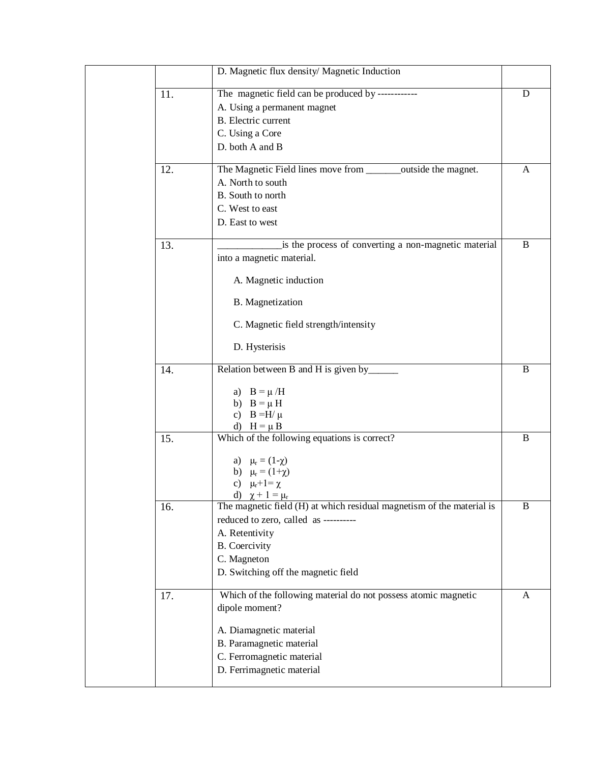|     | D. Magnetic flux density/ Magnetic Induction                          |   |
|-----|-----------------------------------------------------------------------|---|
| 11. | The magnetic field can be produced by ------------                    | D |
|     | A. Using a permanent magnet                                           |   |
|     | <b>B.</b> Electric current                                            |   |
|     | C. Using a Core                                                       |   |
|     | D. both A and B                                                       |   |
| 12. | The Magnetic Field lines move from ________outside the magnet.        | A |
|     | A. North to south                                                     |   |
|     | B. South to north                                                     |   |
|     | C. West to east                                                       |   |
|     | D. East to west                                                       |   |
| 13. | is the process of converting a non-magnetic material                  | B |
|     | into a magnetic material.                                             |   |
|     | A. Magnetic induction                                                 |   |
|     | B. Magnetization                                                      |   |
|     | C. Magnetic field strength/intensity                                  |   |
|     | D. Hysterisis                                                         |   |
| 14. | Relation between B and H is given by____                              | B |
|     |                                                                       |   |
|     | a) $B = \mu/H$<br>b) $B = \mu H$                                      |   |
|     | c) $B = H/\mu$                                                        |   |
|     | d) $H = \mu B$                                                        |   |
| 15. | Which of the following equations is correct?                          | B |
|     | a) $\mu_r = (1-\chi)$                                                 |   |
|     | b) $\mu_r = (1 + \chi)$                                               |   |
|     | c) $\mu_r + 1 = \chi$                                                 |   |
|     | d) $\chi + 1 = \mu_r$                                                 |   |
| 16. | The magnetic field (H) at which residual magnetism of the material is | B |
|     | reduced to zero, called as ----------                                 |   |
|     | A. Retentivity                                                        |   |
|     | <b>B.</b> Coercivity                                                  |   |
|     | C. Magneton                                                           |   |
|     | D. Switching off the magnetic field                                   |   |
| 17. | Which of the following material do not possess atomic magnetic        | A |
|     | dipole moment?                                                        |   |
|     | A. Diamagnetic material                                               |   |
|     | B. Paramagnetic material                                              |   |
|     | C. Ferromagnetic material                                             |   |
|     | D. Ferrimagnetic material                                             |   |
|     |                                                                       |   |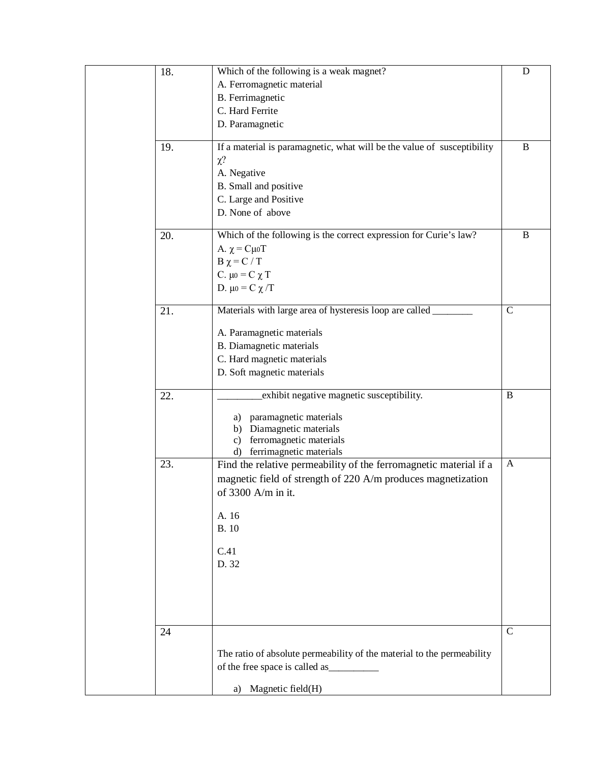| 18. | Which of the following is a weak magnet?                                | ${\bf D}$      |
|-----|-------------------------------------------------------------------------|----------------|
|     | A. Ferromagnetic material                                               |                |
|     | B. Ferrimagnetic                                                        |                |
|     | C. Hard Ferrite                                                         |                |
|     | D. Paramagnetic                                                         |                |
| 19. | If a material is paramagnetic, what will be the value of susceptibility | $\, {\bf B}$   |
|     | $\chi$ ?                                                                |                |
|     | A. Negative                                                             |                |
|     | B. Small and positive                                                   |                |
|     | C. Large and Positive                                                   |                |
|     | D. None of above                                                        |                |
| 20. | Which of the following is the correct expression for Curie's law?       | B              |
|     | A. $χ = Cμ0T$                                                           |                |
|     | $B \chi = C / T$                                                        |                |
|     | C. $\mu$ <sub>0</sub> = C $\chi$ T                                      |                |
|     | D. $\mu$ <sub>0</sub> = C $\chi$ /T                                     |                |
| 21. | Materials with large area of hysteresis loop are called _               | $\overline{C}$ |
|     | A. Paramagnetic materials                                               |                |
|     | B. Diamagnetic materials                                                |                |
|     | C. Hard magnetic materials                                              |                |
|     | D. Soft magnetic materials                                              |                |
|     |                                                                         |                |
| 22. | exhibit negative magnetic susceptibility.                               | $\, {\bf B}$   |
|     | paramagnetic materials<br>a)                                            |                |
|     | Diamagnetic materials<br>b)                                             |                |
|     | ferromagnetic materials<br>$\mathbf{c}$                                 |                |
|     | d) ferrimagnetic materials                                              |                |
| 23. | Find the relative permeability of the ferromagnetic material if a       | A              |
|     | magnetic field of strength of 220 A/m produces magnetization            |                |
|     | of 3300 A/m in it.                                                      |                |
|     |                                                                         |                |
|     | A. 16                                                                   |                |
|     | <b>B.10</b>                                                             |                |
|     | C.41                                                                    |                |
|     | D. 32                                                                   |                |
|     |                                                                         |                |
|     |                                                                         |                |
|     |                                                                         |                |
|     |                                                                         | $\mathsf{C}$   |
| 24  |                                                                         |                |
|     | The ratio of absolute permeability of the material to the permeability  |                |
|     | of the free space is called as_                                         |                |
|     | Magnetic field(H)<br>a)                                                 |                |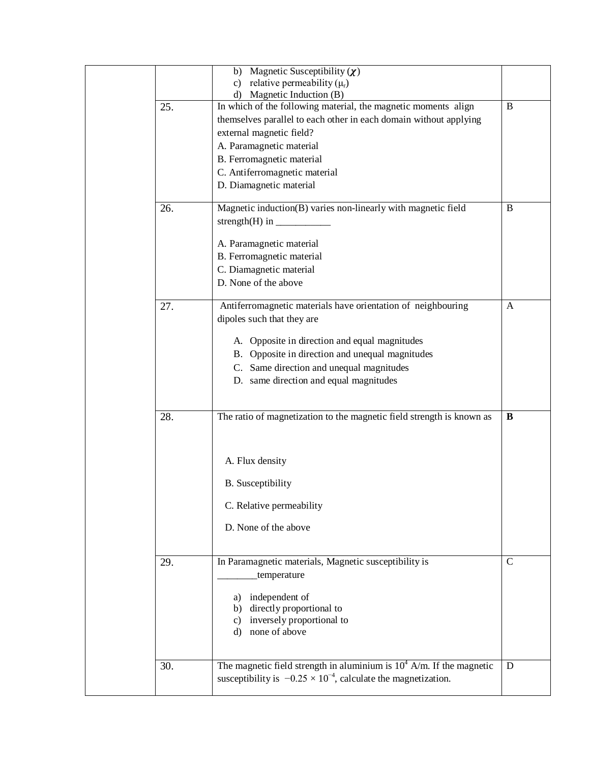|     | Magnetic Susceptibility $(\chi)$<br>b)<br>relative permeability $(\mu_r)$<br>$\mathbf{c}$<br>d) Magnetic Induction (B)                                                                                                                                                               |              |
|-----|--------------------------------------------------------------------------------------------------------------------------------------------------------------------------------------------------------------------------------------------------------------------------------------|--------------|
| 25. | In which of the following material, the magnetic moments align<br>themselves parallel to each other in each domain without applying<br>external magnetic field?<br>A. Paramagnetic material<br>B. Ferromagnetic material<br>C. Antiferromagnetic material<br>D. Diamagnetic material | B            |
| 26. | Magnetic induction(B) varies non-linearly with magnetic field<br>strength(H) in $\_\_\_\_\_\_\_\_\_\_\_\_\_\_\_\_\_\_\_$<br>A. Paramagnetic material<br>B. Ferromagnetic material<br>C. Diamagnetic material<br>D. None of the above                                                 | B            |
| 27. | Antiferromagnetic materials have orientation of neighbouring<br>dipoles such that they are<br>A. Opposite in direction and equal magnitudes<br>B. Opposite in direction and unequal magnitudes<br>C. Same direction and unequal magnitudes<br>D. same direction and equal magnitudes | A            |
| 28. | The ratio of magnetization to the magnetic field strength is known as<br>A. Flux density<br><b>B.</b> Susceptibility<br>C. Relative permeability<br>D. None of the above                                                                                                             | B            |
| 29. | In Paramagnetic materials, Magnetic susceptibility is<br>temperature<br>independent of<br>a)<br>directly proportional to<br>b)<br>inversely proportional to<br>C)<br>none of above<br>d)                                                                                             | $\mathsf{C}$ |
| 30. | The magnetic field strength in aluminium is $10^4$ A/m. If the magnetic<br>susceptibility is $-0.25 \times 10^{-4}$ , calculate the magnetization.                                                                                                                                   | $\mathbf D$  |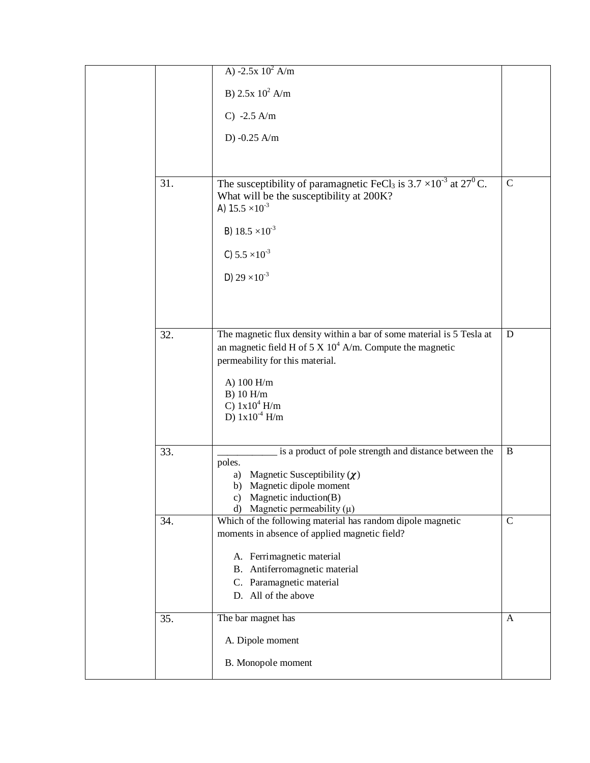|     | A) $-2.5x 10^2 A/m$                                                                                                                                                     |                |
|-----|-------------------------------------------------------------------------------------------------------------------------------------------------------------------------|----------------|
|     | B) $2.5x 10^2$ A/m                                                                                                                                                      |                |
|     | $C) -2.5$ A/m                                                                                                                                                           |                |
|     | D) $-0.25$ A/m                                                                                                                                                          |                |
|     |                                                                                                                                                                         |                |
| 31. | The susceptibility of paramagnetic FeCl <sub>3</sub> is $3.7 \times 10^{-3}$ at $27^{0}$ C.<br>What will be the susceptibility at 200K?<br>A) $15.5 \times 10^{-3}$     | $\overline{C}$ |
|     | B) $18.5 \times 10^{-3}$                                                                                                                                                |                |
|     | C) $5.5 \times 10^{-3}$                                                                                                                                                 |                |
|     | D) $29 \times 10^{-3}$                                                                                                                                                  |                |
|     |                                                                                                                                                                         |                |
|     |                                                                                                                                                                         |                |
| 32. | The magnetic flux density within a bar of some material is 5 Tesla at<br>an magnetic field H of 5 X $10^4$ A/m. Compute the magnetic<br>permeability for this material. | D              |
|     | A) 100 H/m<br>B) 10 H/m<br>C) $1x10^4$ H/m<br>D) $1x10^4$ H/m                                                                                                           |                |
| 33. | is a product of pole strength and distance between the                                                                                                                  | B              |
|     | poles.                                                                                                                                                                  |                |
|     | Magnetic Susceptibility $(\chi)$<br>a)<br>Magnetic dipole moment<br>b)                                                                                                  |                |
|     | Magnetic induction $(B)$<br>C)                                                                                                                                          |                |
| 34. | Magnetic permeability $(\mu)$<br>d)<br>Which of the following material has random dipole magnetic                                                                       | $\mathbf C$    |
|     | moments in absence of applied magnetic field?                                                                                                                           |                |
|     | A. Ferrimagnetic material                                                                                                                                               |                |
|     | B. Antiferromagnetic material                                                                                                                                           |                |
|     | C. Paramagnetic material<br>D. All of the above                                                                                                                         |                |
| 35. | The bar magnet has                                                                                                                                                      | A              |
|     | A. Dipole moment                                                                                                                                                        |                |
|     |                                                                                                                                                                         |                |
|     | B. Monopole moment                                                                                                                                                      |                |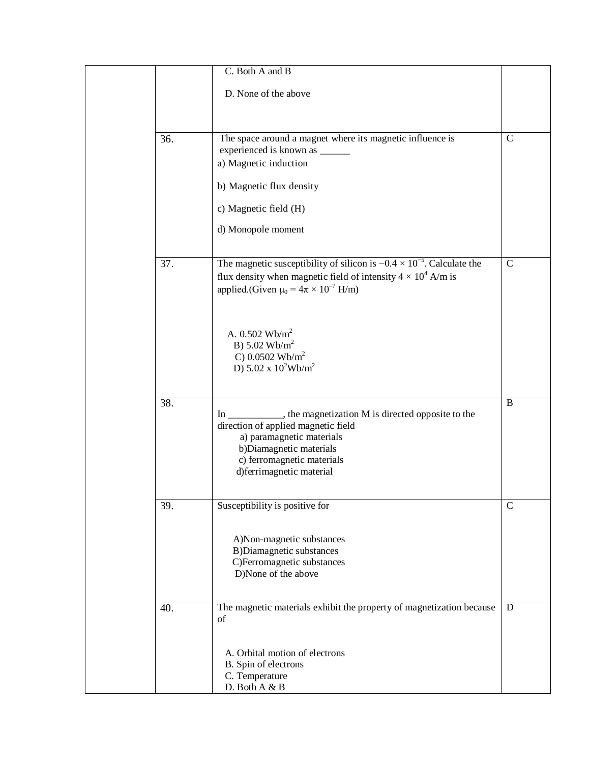|     | C. Both A and B                                                                                                                                                                                                          |             |
|-----|--------------------------------------------------------------------------------------------------------------------------------------------------------------------------------------------------------------------------|-------------|
|     | D. None of the above                                                                                                                                                                                                     |             |
| 36. | The space around a magnet where its magnetic influence is                                                                                                                                                                | $\mathbf C$ |
|     | experienced is known as ______<br>a) Magnetic induction                                                                                                                                                                  |             |
|     | b) Magnetic flux density                                                                                                                                                                                                 |             |
|     | c) Magnetic field (H)                                                                                                                                                                                                    |             |
|     | d) Monopole moment                                                                                                                                                                                                       |             |
| 37. | The magnetic susceptibility of silicon is $-0.4 \times 10^{-5}$ . Calculate the<br>flux density when magnetic field of intensity $4 \times 10^4$ A/m is<br>applied.(Given $\mu_0 = 4\pi \times 10^{-7}$ H/m)             | $\mathbf C$ |
|     | A. $0.502 \text{ Wb/m}^2$<br>B) $5.02 \text{ Wb/m}^2$<br>C) 0.0502 Wb/m <sup>2</sup><br>D) $5.02 \times 10^2$ Wb/m <sup>2</sup>                                                                                          |             |
| 38. | In ___________, the magnetization M is directed opposite to the<br>direction of applied magnetic field<br>a) paramagnetic materials<br>b)Diamagnetic materials<br>c) ferromagnetic materials<br>d)ferrimagnetic material | $\bf{B}$    |
| 39. | Susceptibility is positive for                                                                                                                                                                                           | $\mathbf C$ |
|     | A)Non-magnetic substances<br><b>B)Diamagnetic substances</b><br>C)Ferromagnetic substances<br>D)None of the above                                                                                                        |             |
| 40. | The magnetic materials exhibit the property of magnetization because<br>of                                                                                                                                               | D           |
|     | A. Orbital motion of electrons<br>B. Spin of electrons<br>C. Temperature<br>D. Both A & B                                                                                                                                |             |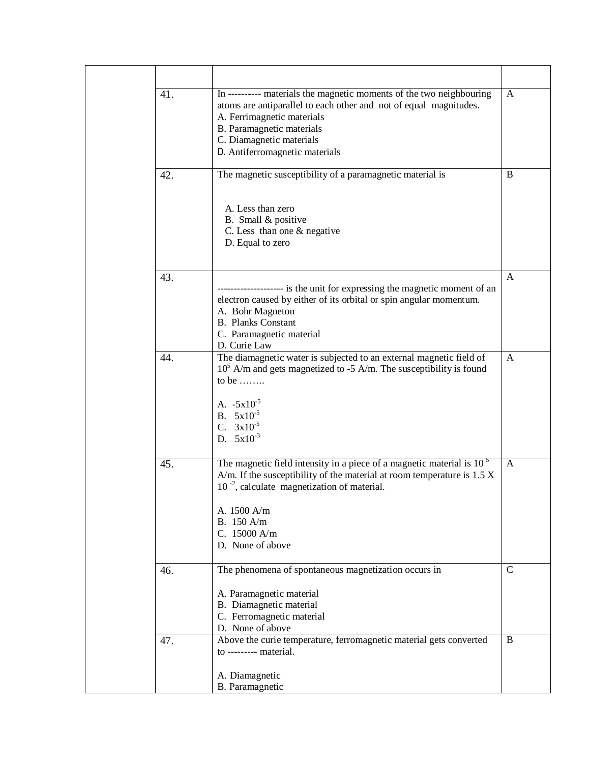| 41. | In ---------- materials the magnetic moments of the two neighbouring<br>atoms are antiparallel to each other and not of equal magnitudes.<br>A. Ferrimagnetic materials<br>B. Paramagnetic materials<br>C. Diamagnetic materials<br>D. Antiferromagnetic materials        | A            |
|-----|---------------------------------------------------------------------------------------------------------------------------------------------------------------------------------------------------------------------------------------------------------------------------|--------------|
| 42. | The magnetic susceptibility of a paramagnetic material is<br>A. Less than zero                                                                                                                                                                                            | B            |
|     | B. Small & positive<br>C. Less than one & negative<br>D. Equal to zero                                                                                                                                                                                                    |              |
| 43. | ------------------- is the unit for expressing the magnetic moment of an<br>electron caused by either of its orbital or spin angular momentum.<br>A. Bohr Magneton<br><b>B.</b> Planks Constant<br>C. Paramagnetic material<br>D. Curie Law                               | A            |
| 44. | The diamagnetic water is subjected to an external magnetic field of<br>$105$ A/m and gets magnetized to -5 A/m. The susceptibility is found<br>to be $\dots$<br>A. $-5x10^{-5}$<br>B. $5x10^{-5}$<br>C. $3x10^{-5}$<br>D. $5x10^{-3}$                                     | A            |
| 45. | The magnetic field intensity in a piece of a magnetic material is $105$<br>A/m. If the susceptibility of the material at room temperature is $1.5 X$<br>$10^{-2}$ , calculate magnetization of material.<br>A. 1500 A/m<br>B. 150 A/m<br>C. 15000 A/m<br>D. None of above | A            |
| 46. | The phenomena of spontaneous magnetization occurs in<br>A. Paramagnetic material<br>B. Diamagnetic material<br>C. Ferromagnetic material<br>D. None of above                                                                                                              | $\mathsf{C}$ |
| 47. | Above the curie temperature, ferromagnetic material gets converted<br>to --------- material.<br>A. Diamagnetic<br>B. Paramagnetic                                                                                                                                         | B            |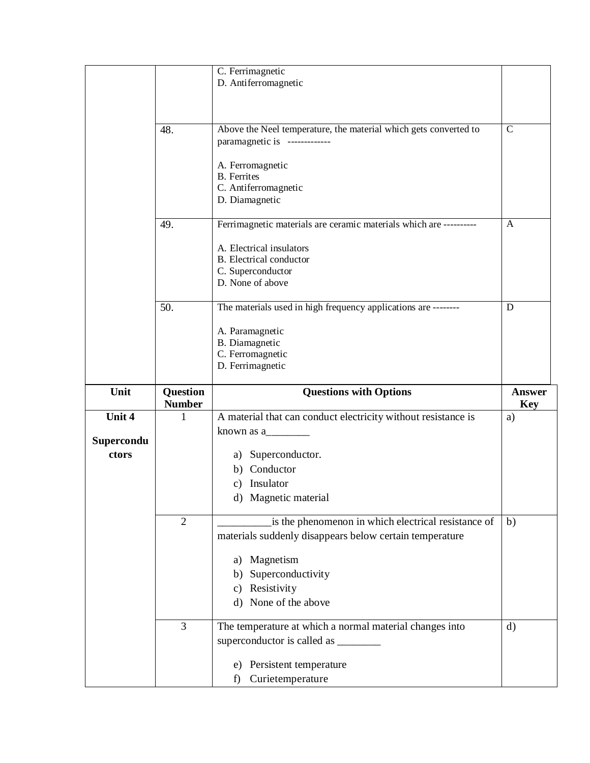|            |                    | C. Ferrimagnetic<br>D. Antiferromagnetic                                                                       |                  |
|------------|--------------------|----------------------------------------------------------------------------------------------------------------|------------------|
|            |                    |                                                                                                                |                  |
|            |                    |                                                                                                                |                  |
|            | 48.                | Above the Neel temperature, the material which gets converted to<br>paramagnetic is -------------              | $\mathsf{C}$     |
|            |                    | A. Ferromagnetic                                                                                               |                  |
|            |                    | <b>B.</b> Ferrites<br>C. Antiferromagnetic                                                                     |                  |
|            |                    | D. Diamagnetic                                                                                                 |                  |
|            | 49.                | Ferrimagnetic materials are ceramic materials which are ----------                                             | A                |
|            |                    | A. Electrical insulators                                                                                       |                  |
|            |                    | <b>B.</b> Electrical conductor<br>C. Superconductor                                                            |                  |
|            |                    | D. None of above                                                                                               |                  |
|            | 50.                | The materials used in high frequency applications are --------                                                 | D                |
|            |                    | A. Paramagnetic                                                                                                |                  |
|            |                    | B. Diamagnetic<br>C. Ferromagnetic                                                                             |                  |
|            |                    | D. Ferrimagnetic                                                                                               |                  |
|            |                    |                                                                                                                |                  |
| Unit       | Question           | <b>Questions with Options</b>                                                                                  | <b>Answer</b>    |
| Unit 4     | <b>Number</b><br>1 | A material that can conduct electricity without resistance is                                                  | <b>Key</b><br>a) |
| Supercondu |                    | known as $a_{\text{max}}$                                                                                      |                  |
| ctors      |                    | a) Superconductor.                                                                                             |                  |
|            |                    | b) Conductor                                                                                                   |                  |
|            |                    | c) Insulator<br>d) Magnetic material                                                                           |                  |
|            |                    |                                                                                                                |                  |
|            | $\overline{2}$     | is the phenomenon in which electrical resistance of<br>materials suddenly disappears below certain temperature | b)               |
|            |                    |                                                                                                                |                  |
|            |                    | Magnetism<br>a)<br>Superconductivity<br>b)                                                                     |                  |
|            |                    | Resistivity<br>$\mathbf{c})$                                                                                   |                  |
|            |                    | d) None of the above                                                                                           |                  |
|            | 3                  | The temperature at which a normal material changes into                                                        | $\mathbf{d}$     |
|            |                    | superconductor is called as _______                                                                            |                  |
|            |                    | e) Persistent temperature<br>Curietemperature<br>f)                                                            |                  |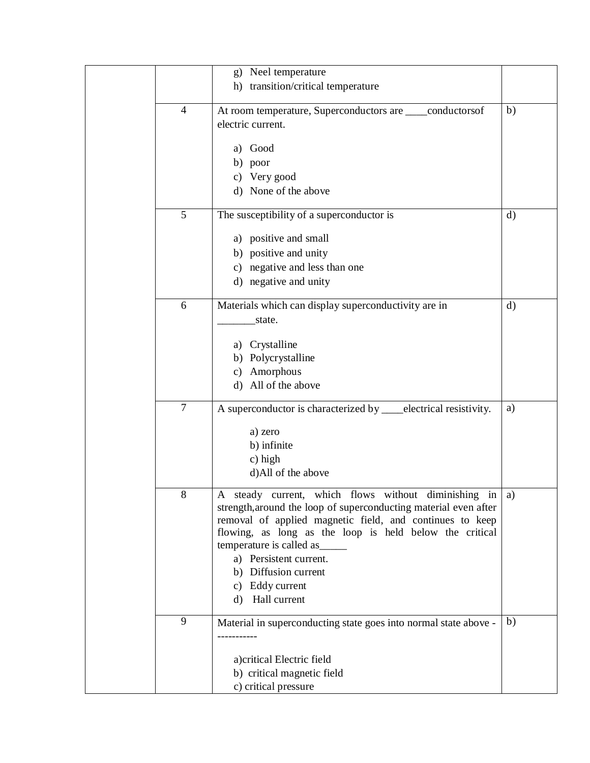|                | Neel temperature<br>$\mathbf{g}$                                    |              |
|----------------|---------------------------------------------------------------------|--------------|
|                | h) transition/critical temperature                                  |              |
|                |                                                                     |              |
| $\overline{4}$ | At room temperature, Superconductors are ____conductorsof           | b)           |
|                | electric current.                                                   |              |
|                |                                                                     |              |
|                | a) Good                                                             |              |
|                | b) poor                                                             |              |
|                | c) Very good                                                        |              |
|                | d) None of the above                                                |              |
| 5              | The susceptibility of a superconductor is                           | $\mathbf{d}$ |
|                | a) positive and small                                               |              |
|                | b) positive and unity                                               |              |
|                | c) negative and less than one                                       |              |
|                | d) negative and unity                                               |              |
|                |                                                                     |              |
| 6              | Materials which can display superconductivity are in                | $\rm d)$     |
|                | state.                                                              |              |
|                |                                                                     |              |
|                | a) Crystalline                                                      |              |
|                | b) Polycrystalline                                                  |              |
|                | Amorphous<br>c)                                                     |              |
|                | d) All of the above                                                 |              |
| $\tau$         | A superconductor is characterized by ___electrical resistivity.     | a)           |
|                |                                                                     |              |
|                | a) zero<br>b) infinite                                              |              |
|                |                                                                     |              |
|                | c) high<br>d)All of the above                                       |              |
|                |                                                                     |              |
| 8              | steady current, which flows without diminishing in $ a\rangle$<br>A |              |
|                | strength, around the loop of superconducting material even after    |              |
|                | removal of applied magnetic field, and continues to keep            |              |
|                | flowing, as long as the loop is held below the critical             |              |
|                | temperature is called as                                            |              |
|                | a) Persistent current.                                              |              |
|                | b) Diffusion current                                                |              |
|                | Eddy current<br>c)                                                  |              |
|                | Hall current<br>d)                                                  |              |
| 9              | Material in superconducting state goes into normal state above -    | b)           |
|                |                                                                     |              |
|                |                                                                     |              |
|                | a) critical Electric field                                          |              |
|                | b) critical magnetic field                                          |              |
|                | c) critical pressure                                                |              |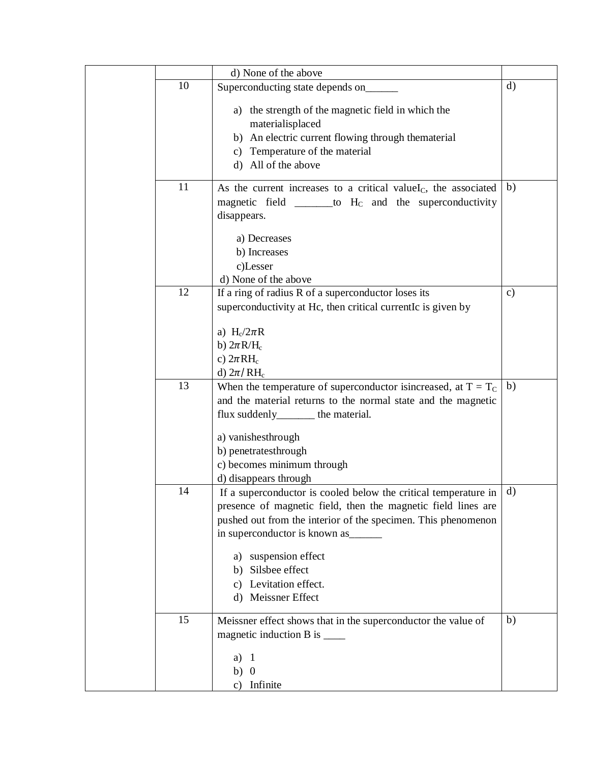|    | d) None of the above                                                |               |
|----|---------------------------------------------------------------------|---------------|
| 10 | Superconducting state depends on_                                   | $\mathbf{d}$  |
|    | a) the strength of the magnetic field in which the                  |               |
|    | materialisplaced                                                    |               |
|    | b) An electric current flowing through thematerial                  |               |
|    | c) Temperature of the material                                      |               |
|    | d) All of the above                                                 |               |
| 11 | As the current increases to a critical value $I_c$ , the associated | b)            |
|    | magnetic field $\_\_\_\_$ to $H_c$ and the superconductivity        |               |
|    | disappears.                                                         |               |
|    | a) Decreases                                                        |               |
|    | b) Increases                                                        |               |
|    | c)Lesser                                                            |               |
|    | d) None of the above                                                |               |
| 12 | If a ring of radius R of a superconductor loses its                 | $\mathbf{c})$ |
|    | superconductivity at Hc, then critical currentIc is given by        |               |
|    |                                                                     |               |
|    | a) $H_c/2\pi R$                                                     |               |
|    | b) $2\pi R/H_c$                                                     |               |
|    | c) $2\pi RH_c$<br>d) $2\pi / RH_c$                                  |               |
| 13 | When the temperature of superconductor is increased, at $T = T_C$   | b)            |
|    | and the material returns to the normal state and the magnetic       |               |
|    | flux suddenly_______ the material.                                  |               |
|    |                                                                     |               |
|    | a) vanishesthrough                                                  |               |
|    | b) penetratesthrough                                                |               |
|    | c) becomes minimum through                                          |               |
|    | d) disappears through                                               |               |
| 14 | If a superconductor is cooled below the critical temperature in     | d)            |
|    | presence of magnetic field, then the magnetic field lines are       |               |
|    | pushed out from the interior of the specimen. This phenomenon       |               |
|    | in superconductor is known as_                                      |               |
|    | a) suspension effect                                                |               |
|    | Silsbee effect<br>b)                                                |               |
|    | c) Levitation effect.                                               |               |
|    | d) Meissner Effect                                                  |               |
| 15 | Meissner effect shows that in the superconductor the value of       | b)            |
|    | magnetic induction $B$ is $\_\_\_\_\_\_\_\_\$                       |               |
|    |                                                                     |               |
|    | a)<br>-1                                                            |               |
|    | $b)$ 0                                                              |               |
|    | Infinite<br>c)                                                      |               |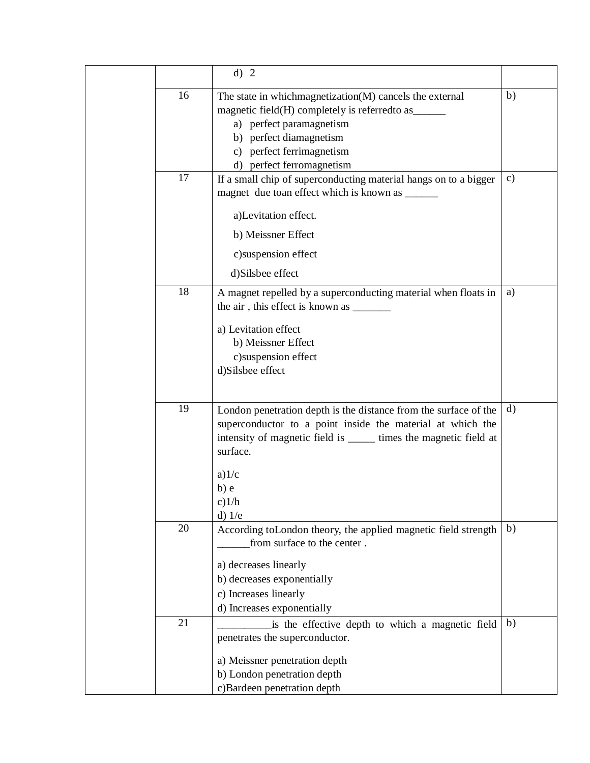|    | d) 2                                                               |              |
|----|--------------------------------------------------------------------|--------------|
| 16 | The state in which magnetization (M) cancels the external          | b)           |
|    | magnetic field(H) completely is referred to as ______              |              |
|    | a) perfect paramagnetism                                           |              |
|    | b) perfect diamagnetism                                            |              |
|    | c) perfect ferrimagnetism                                          |              |
|    | d) perfect ferromagnetism                                          |              |
| 17 | If a small chip of superconducting material hangs on to a bigger   | $\mathbf{c}$ |
|    | magnet due toan effect which is known as ______                    |              |
|    | a)Levitation effect.                                               |              |
|    | b) Meissner Effect                                                 |              |
|    | c)suspension effect                                                |              |
|    | d)Silsbee effect                                                   |              |
| 18 | A magnet repelled by a superconducting material when floats in     | a)           |
|    |                                                                    |              |
|    | a) Levitation effect                                               |              |
|    | b) Meissner Effect                                                 |              |
|    | c)suspension effect                                                |              |
|    | d)Silsbee effect                                                   |              |
|    |                                                                    |              |
| 19 | London penetration depth is the distance from the surface of the   | $\mathbf{d}$ |
|    | superconductor to a point inside the material at which the         |              |
|    | intensity of magnetic field is _______ times the magnetic field at |              |
|    | surface.                                                           |              |
|    | a)1/c                                                              |              |
|    | $b)$ e                                                             |              |
|    | c)1/h                                                              |              |
|    | $d)$ 1/e                                                           |              |
| 20 | According toLondon theory, the applied magnetic field strength     | b)           |
|    | from surface to the center.                                        |              |
|    | a) decreases linearly                                              |              |
|    | b) decreases exponentially                                         |              |
|    | c) Increases linearly                                              |              |
|    | d) Increases exponentially                                         |              |
| 21 | is the effective depth to which a magnetic field                   | b)           |
|    | penetrates the superconductor.                                     |              |
|    | a) Meissner penetration depth                                      |              |
|    | b) London penetration depth                                        |              |
|    | c)Bardeen penetration depth                                        |              |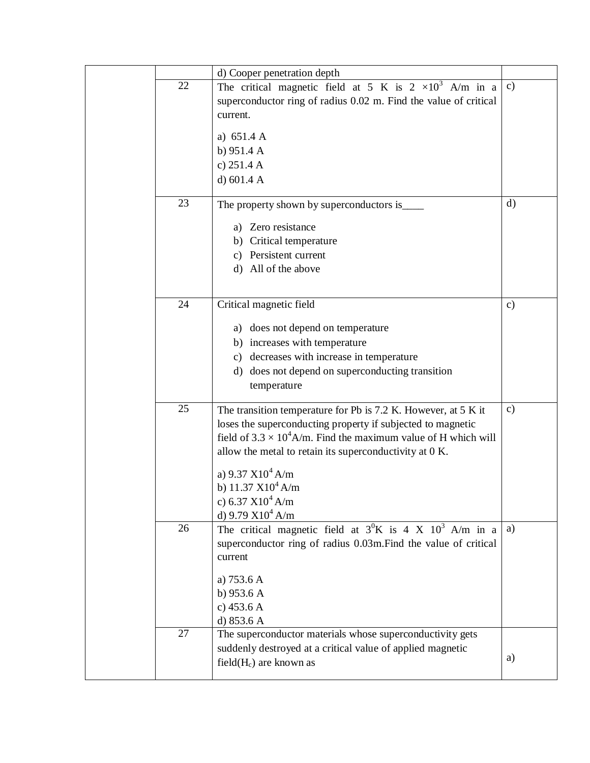|    | d) Cooper penetration depth                                            |               |
|----|------------------------------------------------------------------------|---------------|
| 22 | The critical magnetic field at 5 K is $2 \times 10^3$ A/m in a         | $\mathbf{c})$ |
|    | superconductor ring of radius 0.02 m. Find the value of critical       |               |
|    | current.                                                               |               |
|    | a) $651.4 A$                                                           |               |
|    | b) $951.4 A$                                                           |               |
|    | c) $251.4 A$                                                           |               |
|    | d) $601.4 A$                                                           |               |
|    |                                                                        |               |
| 23 | The property shown by superconductors is_                              | $\mathbf{d}$  |
|    | a) Zero resistance                                                     |               |
|    | b) Critical temperature                                                |               |
|    | c) Persistent current                                                  |               |
|    | d) All of the above                                                    |               |
|    |                                                                        |               |
| 24 | Critical magnetic field                                                | $\mathbf{c})$ |
|    |                                                                        |               |
|    | a) does not depend on temperature                                      |               |
|    | b) increases with temperature                                          |               |
|    | c) decreases with increase in temperature                              |               |
|    | d) does not depend on superconducting transition                       |               |
|    | temperature                                                            |               |
| 25 | The transition temperature for Pb is 7.2 K. However, at 5 K it         | $\mathbf{c})$ |
|    | loses the superconducting property if subjected to magnetic            |               |
|    | field of $3.3 \times 10^4$ A/m. Find the maximum value of H which will |               |
|    | allow the metal to retain its superconductivity at 0 K.                |               |
|    | a) 9.37 $X10^4$ A/m                                                    |               |
|    | b) $11.37 \text{ X}10^4 \text{ A/m}$                                   |               |
|    | c) 6.37 $X10^4$ A/m                                                    |               |
|    | d) 9.79 $X10^4$ A/m                                                    |               |
| 26 | The critical magnetic field at $3^0K$ is 4 X $10^3$ A/m in a           | a)            |
|    | superconductor ring of radius 0.03m. Find the value of critical        |               |
|    | current                                                                |               |
|    |                                                                        |               |
|    | a) 753.6 A<br>b) $953.6 A$                                             |               |
|    | c) $453.6 A$                                                           |               |
|    | d) 853.6 A                                                             |               |
| 27 | The superconductor materials whose superconductivity gets              |               |
|    | suddenly destroyed at a critical value of applied magnetic             |               |
|    | field $(H_c)$ are known as                                             | a)            |
|    |                                                                        |               |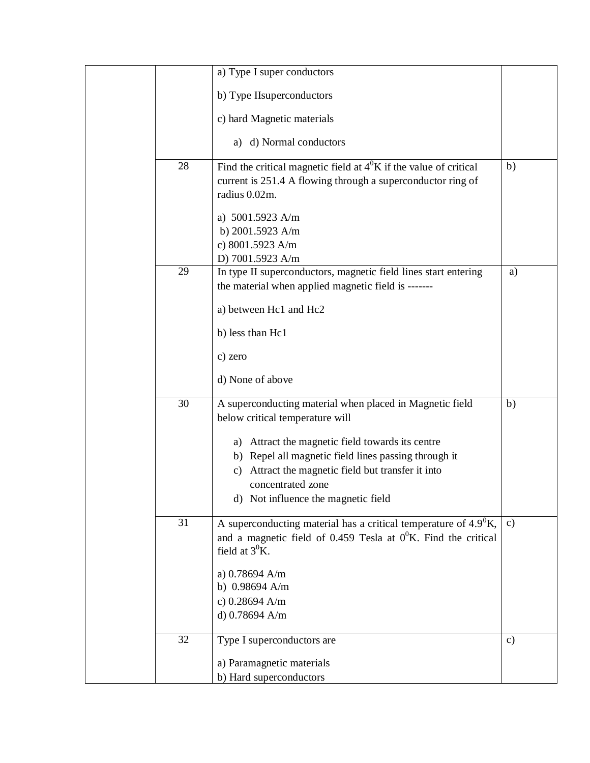|    | a) Type I super conductors                                                                                                                                                                                                                                                                                                   |               |
|----|------------------------------------------------------------------------------------------------------------------------------------------------------------------------------------------------------------------------------------------------------------------------------------------------------------------------------|---------------|
|    | b) Type IIsuperconductors                                                                                                                                                                                                                                                                                                    |               |
|    | c) hard Magnetic materials                                                                                                                                                                                                                                                                                                   |               |
|    | a) d) Normal conductors                                                                                                                                                                                                                                                                                                      |               |
| 28 | Find the critical magnetic field at $4^0$ K if the value of critical<br>current is 251.4 A flowing through a superconductor ring of<br>radius 0.02m.                                                                                                                                                                         | b)            |
|    | a) 5001.5923 A/m<br>b) 2001.5923 A/m<br>c) 8001.5923 A/m<br>D) 7001.5923 A/m                                                                                                                                                                                                                                                 |               |
| 29 | In type II superconductors, magnetic field lines start entering<br>the material when applied magnetic field is -------                                                                                                                                                                                                       | a)            |
|    | a) between Hc1 and Hc2                                                                                                                                                                                                                                                                                                       |               |
|    | b) less than Hc1                                                                                                                                                                                                                                                                                                             |               |
|    | c) zero                                                                                                                                                                                                                                                                                                                      |               |
|    | d) None of above                                                                                                                                                                                                                                                                                                             |               |
| 30 | A superconducting material when placed in Magnetic field<br>below critical temperature will<br>a) Attract the magnetic field towards its centre<br>b) Repel all magnetic field lines passing through it<br>Attract the magnetic field but transfer it into<br>c)<br>concentrated zone<br>d) Not influence the magnetic field | b)            |
| 31 | A superconducting material has a critical temperature of $4.9^0$ K,<br>and a magnetic field of 0.459 Tesla at $0^0$ K. Find the critical<br>field at $3^0$ K.<br>a) $0.78694$ A/m<br>b) $0.98694$ A/m<br>c) 0.28694 A/m<br>d) 0.78694 A/m                                                                                    | $\mathbf{c})$ |
| 32 | Type I superconductors are<br>a) Paramagnetic materials<br>b) Hard superconductors                                                                                                                                                                                                                                           | $\mathbf{c})$ |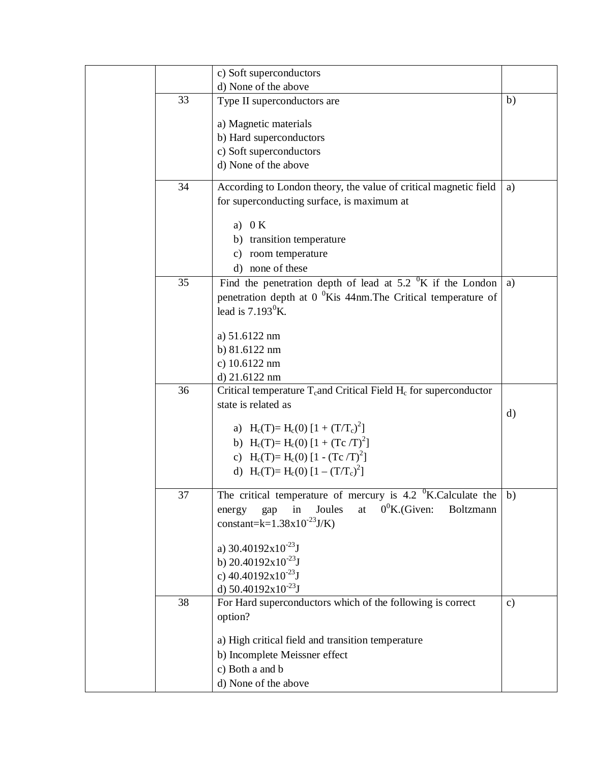|    | c) Soft superconductors                                                                  |               |
|----|------------------------------------------------------------------------------------------|---------------|
|    | d) None of the above                                                                     |               |
| 33 | Type II superconductors are                                                              | b)            |
|    |                                                                                          |               |
|    | a) Magnetic materials                                                                    |               |
|    | b) Hard superconductors                                                                  |               |
|    | c) Soft superconductors                                                                  |               |
|    | d) None of the above                                                                     |               |
| 34 | According to London theory, the value of critical magnetic field                         | a)            |
|    | for superconducting surface, is maximum at                                               |               |
|    | a) $0 K$                                                                                 |               |
|    | b) transition temperature                                                                |               |
|    |                                                                                          |               |
|    | c) room temperature                                                                      |               |
|    | d) none of these                                                                         |               |
| 35 | Find the penetration depth of lead at $5.2 \text{ }^{\circ}$ K if the London             | a)            |
|    | penetration depth at $00$ Kis 44nm. The Critical temperature of                          |               |
|    | lead is $7.193^0$ K.                                                                     |               |
|    |                                                                                          |               |
|    | a) 51.6122 nm                                                                            |               |
|    | b) 81.6122 nm                                                                            |               |
|    | c) 10.6122 nm                                                                            |               |
|    | d) 21.6122 nm                                                                            |               |
| 36 | Critical temperature T <sub>c</sub> and Critical Field H <sub>c</sub> for superconductor |               |
|    | state is related as                                                                      | $\mathbf{d}$  |
|    | a) H <sub>c</sub> (T)= H <sub>c</sub> (0) [1 + (T/T <sub>c</sub> ) <sup>2</sup> ]        |               |
|    |                                                                                          |               |
|    | b) H <sub>c</sub> (T)= H <sub>c</sub> (0) [1 + (Tc /T) <sup>2</sup> ]                    |               |
|    | c) $H_c(T) = H_c(0) [1 - (Tc/T)^2]$                                                      |               |
|    | d) H <sub>c</sub> (T)= H <sub>c</sub> (0) [1 – $(T/T_c)^2$ ]                             |               |
| 37 | The critical temperature of mercury is $4.2 \text{ }^{\circ}$ K.Calculate the   b)       |               |
|    | $0^0$ K.(Given:<br>Boltzmann<br>in<br>Joules<br>at                                       |               |
|    | energy<br>gap<br>constant=k= $1.38x10^{-23}$ J/K)                                        |               |
|    |                                                                                          |               |
|    | a) $30.40192 \times 10^{-23}$ J                                                          |               |
|    | b) $20.40192x10^{-23}$ J                                                                 |               |
|    | c) $40.40192x10^{-23}$ J                                                                 |               |
|    | d) $50.40192 \times 10^{-23}$ J                                                          |               |
| 38 | For Hard superconductors which of the following is correct                               | $\mathbf{c})$ |
|    | option?                                                                                  |               |
|    |                                                                                          |               |
|    | a) High critical field and transition temperature                                        |               |
|    | b) Incomplete Meissner effect                                                            |               |
|    | c) Both a and b                                                                          |               |
|    | d) None of the above                                                                     |               |
|    |                                                                                          |               |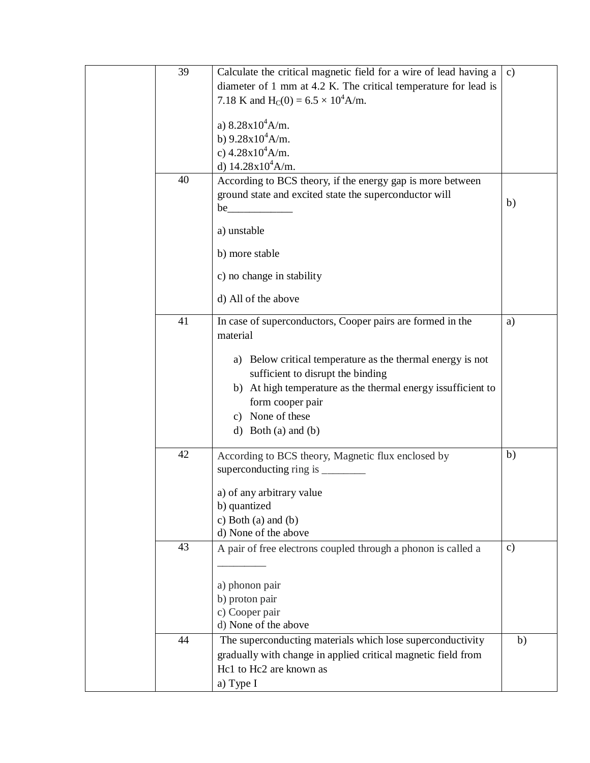| 39 | Calculate the critical magnetic field for a wire of lead having a | $\mathbf{c})$ |
|----|-------------------------------------------------------------------|---------------|
|    | diameter of 1 mm at 4.2 K. The critical temperature for lead is   |               |
|    | 7.18 K and H <sub>C</sub> (0) = $6.5 \times 10^4$ A/m.            |               |
|    |                                                                   |               |
|    | a) $8.28 \times 10^4$ A/m.                                        |               |
|    | b) $9.28 \times 10^4$ A/m.                                        |               |
|    | c) $4.28 \times 10^4$ A/m.                                        |               |
|    | d) $14.28 \times 10^4$ A/m.                                       |               |
| 40 | According to BCS theory, if the energy gap is more between        |               |
|    | ground state and excited state the superconductor will            |               |
|    |                                                                   | b)            |
|    | a) unstable                                                       |               |
|    | b) more stable                                                    |               |
|    | c) no change in stability                                         |               |
|    | d) All of the above                                               |               |
| 41 | In case of superconductors, Cooper pairs are formed in the        | a)            |
|    | material                                                          |               |
|    |                                                                   |               |
|    | a) Below critical temperature as the thermal energy is not        |               |
|    | sufficient to disrupt the binding                                 |               |
|    | b) At high temperature as the thermal energy issufficient to      |               |
|    | form cooper pair                                                  |               |
|    | c) None of these                                                  |               |
|    | d) Both (a) and (b)                                               |               |
| 42 | According to BCS theory, Magnetic flux enclosed by                | b)            |
|    | superconducting ring is _________                                 |               |
|    |                                                                   |               |
|    | a) of any arbitrary value                                         |               |
|    | b) quantized                                                      |               |
|    | c) Both (a) and (b)                                               |               |
|    | d) None of the above                                              |               |
| 43 | A pair of free electrons coupled through a phonon is called a     | $\mathbf{c})$ |
|    |                                                                   |               |
|    |                                                                   |               |
|    | a) phonon pair                                                    |               |
|    | b) proton pair<br>c) Cooper pair                                  |               |
|    | d) None of the above                                              |               |
| 44 | The superconducting materials which lose superconductivity        | b)            |
|    |                                                                   |               |
|    | gradually with change in applied critical magnetic field from     |               |
|    | Hc1 to Hc2 are known as                                           |               |
|    | a) Type I                                                         |               |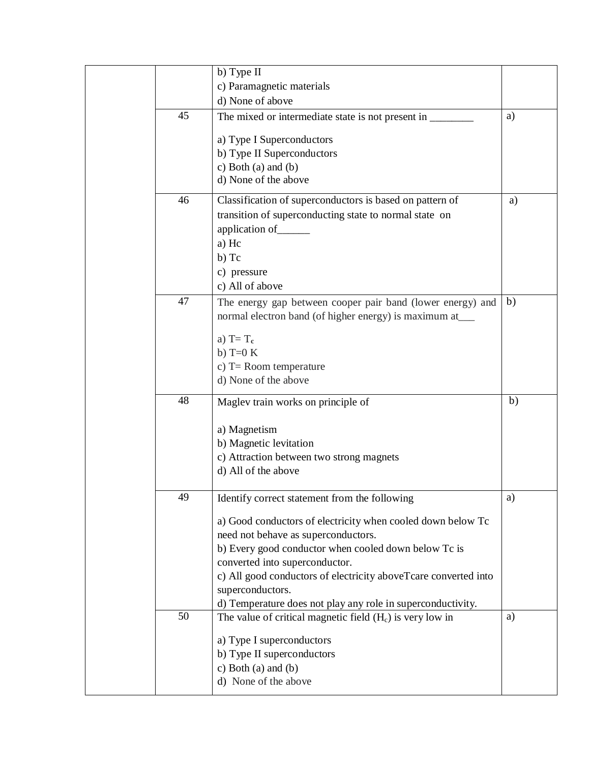|    | b) Type II                                                                                         |    |
|----|----------------------------------------------------------------------------------------------------|----|
|    | c) Paramagnetic materials                                                                          |    |
|    | d) None of above                                                                                   |    |
| 45 | The mixed or intermediate state is not present in _____                                            | a) |
|    | a) Type I Superconductors                                                                          |    |
|    | b) Type II Superconductors                                                                         |    |
|    | c) Both (a) and (b)                                                                                |    |
|    | d) None of the above                                                                               |    |
| 46 | Classification of superconductors is based on pattern of                                           | a) |
|    | transition of superconducting state to normal state on                                             |    |
|    | application of _______                                                                             |    |
|    | a) Hc                                                                                              |    |
|    | b) Tc                                                                                              |    |
|    | c) pressure                                                                                        |    |
|    | c) All of above                                                                                    |    |
| 47 | The energy gap between cooper pair band (lower energy) and                                         | b) |
|    | normal electron band (of higher energy) is maximum at____                                          |    |
|    |                                                                                                    |    |
|    | a) $T = T_c$                                                                                       |    |
|    | b) T= $0 K$                                                                                        |    |
|    | c) $T =$ Room temperature<br>d) None of the above                                                  |    |
|    |                                                                                                    |    |
| 48 | Maglev train works on principle of                                                                 | b) |
|    |                                                                                                    |    |
|    | a) Magnetism                                                                                       |    |
|    | b) Magnetic levitation                                                                             |    |
|    | c) Attraction between two strong magnets                                                           |    |
|    | d) All of the above                                                                                |    |
| 49 | Identify correct statement from the following                                                      | a) |
|    |                                                                                                    |    |
|    | a) Good conductors of electricity when cooled down below Tc<br>need not behave as superconductors. |    |
|    | b) Every good conductor when cooled down below Tc is                                               |    |
|    | converted into superconductor.                                                                     |    |
|    | c) All good conductors of electricity aboveTcare converted into                                    |    |
|    | superconductors.                                                                                   |    |
|    | d) Temperature does not play any role in superconductivity.                                        |    |
| 50 | The value of critical magnetic field $(H_c)$ is very low in                                        | a) |
|    |                                                                                                    |    |
|    | a) Type I superconductors                                                                          |    |
|    | b) Type II superconductors                                                                         |    |
|    | c) Both (a) and (b)                                                                                |    |
|    | d) None of the above                                                                               |    |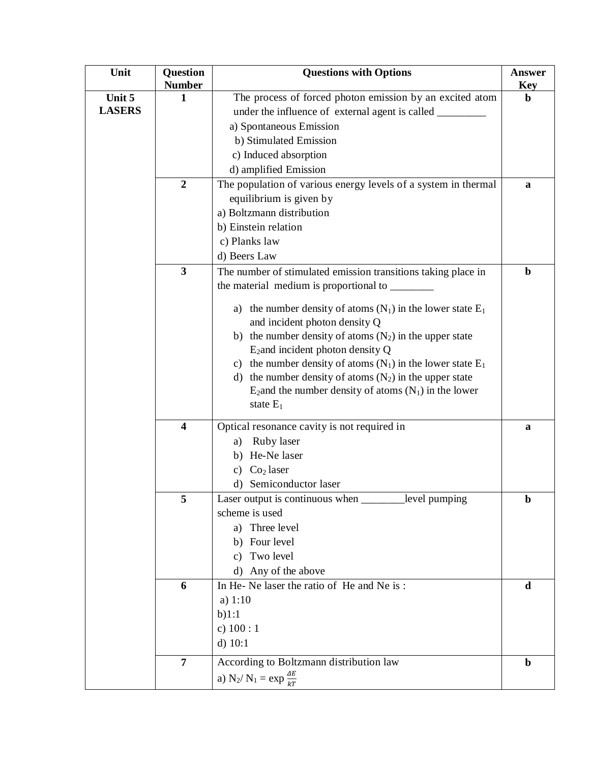| Unit          | Question                | <b>Questions with Options</b>                                                                                           | <b>Answer</b>             |
|---------------|-------------------------|-------------------------------------------------------------------------------------------------------------------------|---------------------------|
| Unit 5        | <b>Number</b><br>1      | The process of forced photon emission by an excited atom                                                                | <b>Key</b><br>$\mathbf b$ |
| <b>LASERS</b> |                         | under the influence of external agent is called _________                                                               |                           |
|               |                         | a) Spontaneous Emission                                                                                                 |                           |
|               |                         | b) Stimulated Emission                                                                                                  |                           |
|               |                         | c) Induced absorption                                                                                                   |                           |
|               |                         | d) amplified Emission                                                                                                   |                           |
|               | $\overline{2}$          | The population of various energy levels of a system in thermal                                                          | a                         |
|               |                         | equilibrium is given by                                                                                                 |                           |
|               |                         | a) Boltzmann distribution                                                                                               |                           |
|               |                         | b) Einstein relation                                                                                                    |                           |
|               |                         | c) Planks law                                                                                                           |                           |
|               |                         | d) Beers Law                                                                                                            |                           |
|               | $\overline{\mathbf{3}}$ | The number of stimulated emission transitions taking place in                                                           | $\mathbf b$               |
|               |                         | the material medium is proportional to ________                                                                         |                           |
|               |                         |                                                                                                                         |                           |
|               |                         | a) the number density of atoms $(N_1)$ in the lower state $E_1$                                                         |                           |
|               |                         | and incident photon density Q                                                                                           |                           |
|               |                         | b) the number density of atoms $(N_2)$ in the upper state                                                               |                           |
|               |                         | $E_2$ and incident photon density Q                                                                                     |                           |
|               |                         | c) the number density of atoms $(N_1)$ in the lower state $E_1$                                                         |                           |
|               |                         | d) the number density of atoms $(N_2)$ in the upper state<br>$E_2$ and the number density of atoms $(N_1)$ in the lower |                           |
|               |                         | state $E_1$                                                                                                             |                           |
|               |                         |                                                                                                                         |                           |
|               | $\overline{\mathbf{4}}$ | Optical resonance cavity is not required in                                                                             | a                         |
|               |                         | Ruby laser<br>a)                                                                                                        |                           |
|               |                         | b) He-Ne laser                                                                                                          |                           |
|               |                         | Co <sub>2</sub> laser<br>C)                                                                                             |                           |
|               |                         | d) Semiconductor laser                                                                                                  |                           |
|               | 5                       | Laser output is continuous when __________level pumping                                                                 | $\mathbf b$               |
|               |                         | scheme is used                                                                                                          |                           |
|               |                         | a) Three level                                                                                                          |                           |
|               |                         | b) Four level                                                                                                           |                           |
|               |                         | Two level<br>c)                                                                                                         |                           |
|               |                         | d) Any of the above                                                                                                     |                           |
|               | 6                       | In He-Ne laser the ratio of He and Ne is:<br>a) $1:10$                                                                  | d                         |
|               |                         | b)1:1                                                                                                                   |                           |
|               |                         | c) $100:1$                                                                                                              |                           |
|               |                         | $d)$ 10:1                                                                                                               |                           |
|               |                         |                                                                                                                         |                           |
|               | $\overline{7}$          | According to Boltzmann distribution law                                                                                 | $\mathbf b$               |
|               |                         | a) N <sub>2</sub> / N <sub>1</sub> = $\exp \frac{\Delta E}{kT}$                                                         |                           |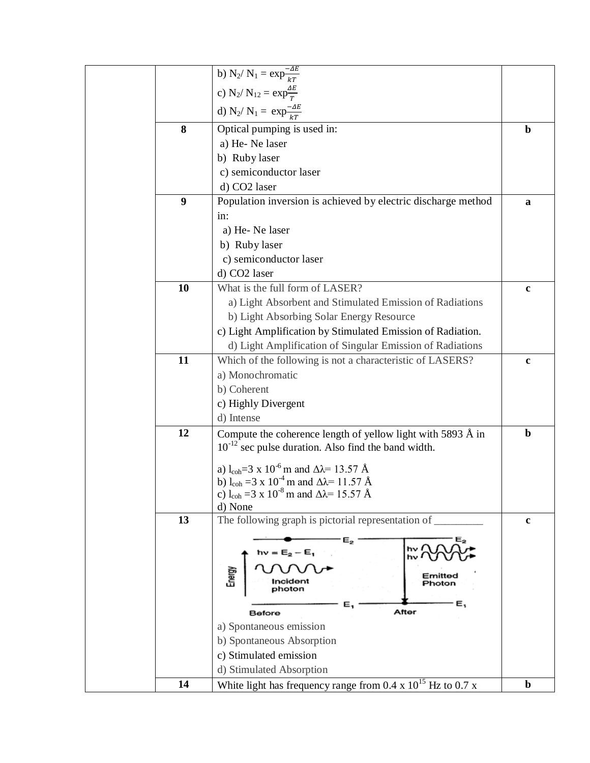|    | b) N <sub>2</sub> / N <sub>1</sub> = $\exp^{-\Delta E}_{kT}$                                                                                             |             |
|----|----------------------------------------------------------------------------------------------------------------------------------------------------------|-------------|
|    | c) N <sub>2</sub> / N <sub>12</sub> = $\exp{\frac{\Delta E}{T}}$                                                                                         |             |
|    | d) N <sub>2</sub> / N <sub>1</sub> = $\exp{\frac{-\Delta E}{kT}}$                                                                                        |             |
|    |                                                                                                                                                          |             |
| 8  | Optical pumping is used in:                                                                                                                              | $\mathbf b$ |
|    | a) He-Ne laser                                                                                                                                           |             |
|    | b) Ruby laser                                                                                                                                            |             |
|    | c) semiconductor laser                                                                                                                                   |             |
|    | d) CO2 laser                                                                                                                                             |             |
| 9  | Population inversion is achieved by electric discharge method                                                                                            | a           |
|    | in:                                                                                                                                                      |             |
|    | a) He-Ne laser                                                                                                                                           |             |
|    | b) Ruby laser                                                                                                                                            |             |
|    | c) semiconductor laser                                                                                                                                   |             |
|    | d) CO2 laser                                                                                                                                             |             |
| 10 | What is the full form of LASER?                                                                                                                          | $\mathbf c$ |
|    | a) Light Absorbent and Stimulated Emission of Radiations                                                                                                 |             |
|    | b) Light Absorbing Solar Energy Resource                                                                                                                 |             |
|    | c) Light Amplification by Stimulated Emission of Radiation.                                                                                              |             |
|    | d) Light Amplification of Singular Emission of Radiations                                                                                                |             |
| 11 | Which of the following is not a characteristic of LASERS?                                                                                                | $\mathbf c$ |
|    | a) Monochromatic                                                                                                                                         |             |
|    | b) Coherent                                                                                                                                              |             |
|    | c) Highly Divergent                                                                                                                                      |             |
|    | d) Intense                                                                                                                                               |             |
| 12 | Compute the coherence length of yellow light with 5893 Å in                                                                                              | $\mathbf b$ |
|    | $10^{-12}$ sec pulse duration. Also find the band width.                                                                                                 |             |
|    |                                                                                                                                                          |             |
|    | a) l <sub>coh</sub> =3 x 10 <sup>-6</sup> m and $\Delta\lambda$ = 13.57 Å<br>b) l <sub>coh</sub> = 3 x 10 <sup>-4</sup> m and $\Delta \lambda$ = 11.57 Å |             |
|    | c) l <sub>coh</sub> = 3 x 10 <sup>-8</sup> m and $\Delta\lambda$ = 15.57 Å                                                                               |             |
|    | d) None                                                                                                                                                  |             |
| 13 | The following graph is pictorial representation of                                                                                                       | $\mathbf c$ |
|    |                                                                                                                                                          |             |
|    | $\mathsf{e}_{\mathsf{z}}$<br>hν<br>$h\nu = E_2 - E_1$                                                                                                    |             |
|    | hν                                                                                                                                                       |             |
|    | Energy<br>Emittec<br>Incident<br>Photon                                                                                                                  |             |
|    |                                                                                                                                                          |             |
|    | E,<br>Ε,<br>After<br>Before                                                                                                                              |             |
|    | a) Spontaneous emission                                                                                                                                  |             |
|    | b) Spontaneous Absorption                                                                                                                                |             |
|    | c) Stimulated emission                                                                                                                                   |             |
|    | d) Stimulated Absorption                                                                                                                                 |             |
| 14 | White light has frequency range from 0.4 x $10^{15}$ Hz to 0.7 x                                                                                         | $\mathbf b$ |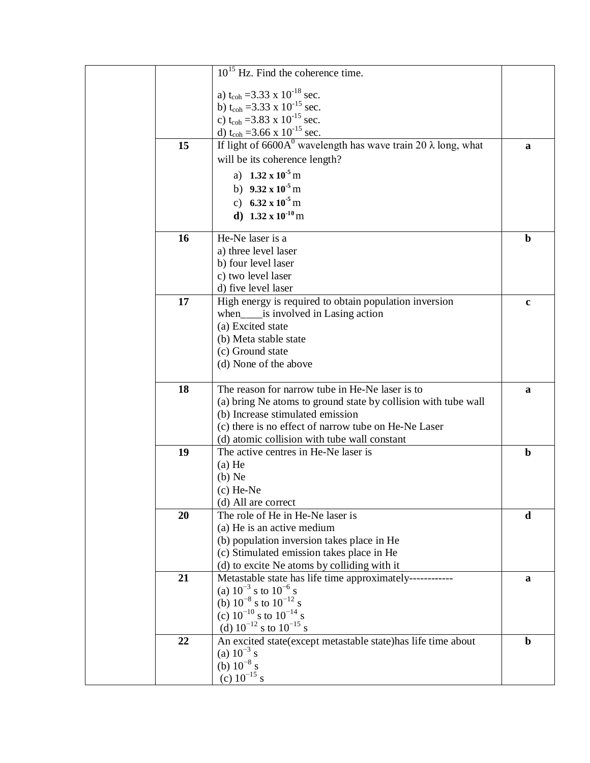|    | $10^{15}$ Hz. Find the coherence time.                                                     |              |
|----|--------------------------------------------------------------------------------------------|--------------|
|    | a) t <sub>coh</sub> = 3.33 x 10 <sup>-18</sup> sec.                                        |              |
|    | b) t <sub>coh</sub> = 3.33 x 10 <sup>-15</sup> sec.                                        |              |
|    | c) t <sub>coh</sub> = 3.83 x 10 <sup>-15</sup> sec.                                        |              |
|    | d) t <sub>coh</sub> = 3.66 x 10 <sup>-15</sup> sec.                                        |              |
| 15 | If light of 6600A <sup>0</sup> wavelength has wave train 20 $\lambda$ long, what           | a            |
|    | will be its coherence length?                                                              |              |
|    | a) $1.32 \times 10^{-5}$ m                                                                 |              |
|    | b) $9.32 \times 10^{-5}$ m                                                                 |              |
|    | c) 6.32 x $10^{-5}$ m                                                                      |              |
|    | d) $1.32 \times 10^{-10}$ m                                                                |              |
|    |                                                                                            |              |
| 16 | He-Ne laser is a                                                                           | $\mathbf b$  |
|    | a) three level laser                                                                       |              |
|    | b) four level laser                                                                        |              |
|    | c) two level laser                                                                         |              |
|    | d) five level laser                                                                        |              |
| 17 | High energy is required to obtain population inversion                                     | $\mathbf c$  |
|    | when_____is involved in Lasing action                                                      |              |
|    | (a) Excited state                                                                          |              |
|    | (b) Meta stable state                                                                      |              |
|    | (c) Ground state                                                                           |              |
|    | (d) None of the above                                                                      |              |
| 18 | The reason for narrow tube in He-Ne laser is to                                            | $\mathbf{a}$ |
|    | (a) bring Ne atoms to ground state by collision with tube wall                             |              |
|    | (b) Increase stimulated emission                                                           |              |
|    | (c) there is no effect of narrow tube on He-Ne Laser                                       |              |
|    | (d) atomic collision with tube wall constant                                               |              |
| 19 | The active centres in He-Ne laser is                                                       | $\mathbf b$  |
|    | $(a)$ He                                                                                   |              |
|    | $(b)$ Ne                                                                                   |              |
|    | $(c)$ He-Ne                                                                                |              |
|    | (d) All are correct                                                                        |              |
| 20 | The role of He in He-Ne laser is                                                           | d            |
|    | (a) He is an active medium                                                                 |              |
|    | (b) population inversion takes place in He                                                 |              |
|    | (c) Stimulated emission takes place in He                                                  |              |
|    | (d) to excite Ne atoms by colliding with it                                                |              |
| 21 | Metastable state has life time approximately------------<br>(a) $10^{-3}$ s to $10^{-6}$ s | a            |
|    | (b) $10^{-8}$ s to $10^{-12}$ s                                                            |              |
|    | (c) $10^{-10}$ s to $10^{-14}$ s                                                           |              |
|    | (d) $10^{-12}$ s to $10^{-15}$ s                                                           |              |
| 22 | An excited state(except metastable state)has life time about                               | $\mathbf b$  |
|    | (a) $10^{-3}$ s                                                                            |              |
|    | (b) $10^{-8}$ s                                                                            |              |
|    | (c) $10^{-15}$ s                                                                           |              |
|    |                                                                                            |              |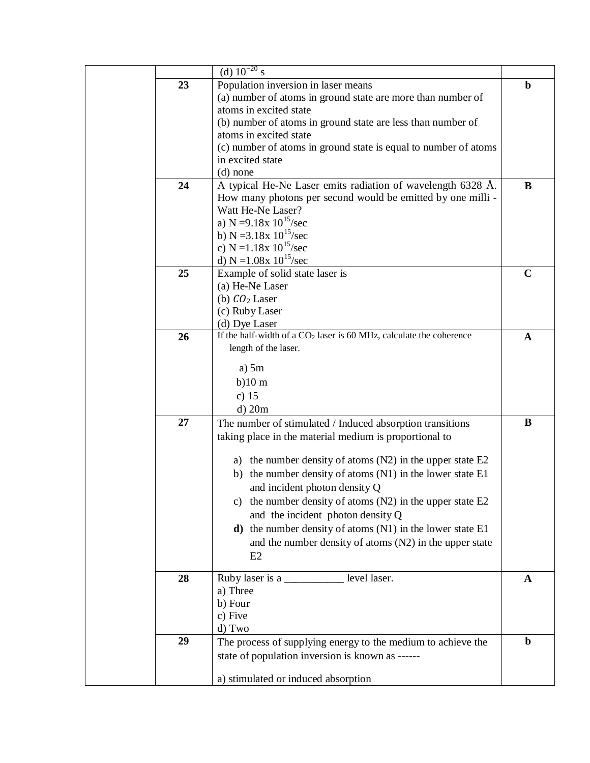|    | (d) $10^{-20}$ s                                                                       |             |
|----|----------------------------------------------------------------------------------------|-------------|
| 23 | Population inversion in laser means                                                    | $\mathbf b$ |
|    | (a) number of atoms in ground state are more than number of                            |             |
|    | atoms in excited state                                                                 |             |
|    | (b) number of atoms in ground state are less than number of                            |             |
|    | atoms in excited state                                                                 |             |
|    | (c) number of atoms in ground state is equal to number of atoms                        |             |
|    | in excited state                                                                       |             |
|    | $(d)$ none                                                                             |             |
| 24 | A typical He-Ne Laser emits radiation of wavelength 6328 Å.                            | B           |
|    | How many photons per second would be emitted by one milli -                            |             |
|    | Watt He-Ne Laser?                                                                      |             |
|    | a) N =9.18x $10^{15}/sec$                                                              |             |
|    | b) N = 3.18x $10^{15}/sec$                                                             |             |
|    | c) N = $1.18x 10^{15}/sec$                                                             |             |
|    | d) $N = 1.08x 10^{15}/sec$                                                             |             |
| 25 | Example of solid state laser is                                                        | $\mathbf C$ |
|    | (a) He-Ne Laser                                                                        |             |
|    | (b) $CO2 Laser$                                                                        |             |
|    | (c) Ruby Laser                                                                         |             |
|    | (d) Dye Laser<br>If the half-width of a $CO2$ laser is 60 MHz, calculate the coherence |             |
| 26 |                                                                                        | A           |
|    | length of the laser.                                                                   |             |
|    | a) $5m$                                                                                |             |
|    | $b)10$ m                                                                               |             |
|    | c) $15$                                                                                |             |
|    | $d)$ 20m                                                                               |             |
| 27 | The number of stimulated / Induced absorption transitions                              | B           |
|    | taking place in the material medium is proportional to                                 |             |
|    |                                                                                        |             |
|    | a) the number density of atoms $(N2)$ in the upper state E2                            |             |
|    | b) the number density of atoms (N1) in the lower state E1                              |             |
|    | and incident photon density Q                                                          |             |
|    | c) the number density of atoms $(N2)$ in the upper state $E2$                          |             |
|    | and the incident photon density Q                                                      |             |
|    |                                                                                        |             |
|    | $d)$ the number density of atoms (N1) in the lower state E1                            |             |
|    | and the number density of atoms (N2) in the upper state                                |             |
|    | E2                                                                                     |             |
| 28 | Ruby laser is a __________ level laser.                                                | A           |
|    | a) Three                                                                               |             |
|    | b) Four                                                                                |             |
|    | c) Five                                                                                |             |
|    | d) Two                                                                                 |             |
| 29 | The process of supplying energy to the medium to achieve the                           | $\mathbf b$ |
|    | state of population inversion is known as ------                                       |             |
|    |                                                                                        |             |
|    | a) stimulated or induced absorption                                                    |             |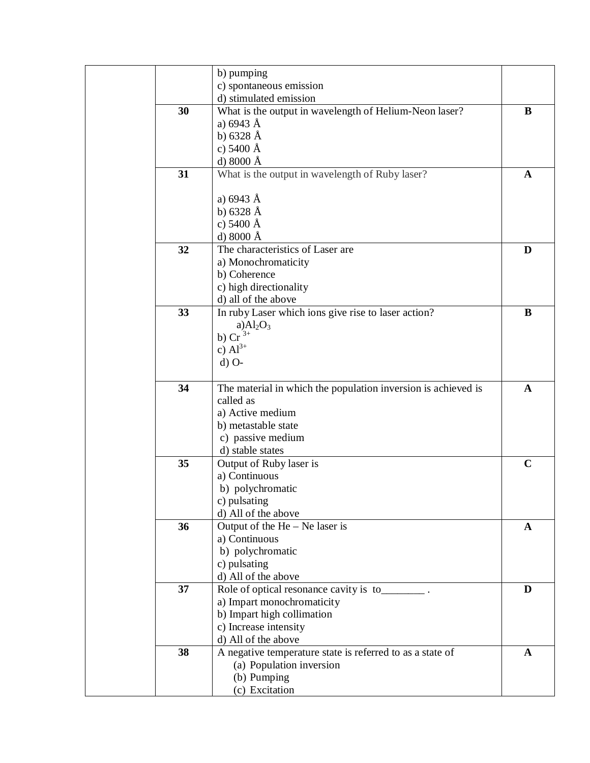|    | b) pumping                                                    |              |
|----|---------------------------------------------------------------|--------------|
|    | c) spontaneous emission                                       |              |
|    | d) stimulated emission                                        |              |
| 30 | What is the output in wavelength of Helium-Neon laser?        | B            |
|    | a) $6943 \text{ Å}$                                           |              |
|    | b) $6328 \text{ Å}$                                           |              |
|    | c) $5400 \text{ Å}$                                           |              |
|    | d) $8000 \text{ Å}$                                           |              |
| 31 | What is the output in wavelength of Ruby laser?               | A            |
|    |                                                               |              |
|    | a) $6943 \text{ Å}$                                           |              |
|    | b) $6328 \text{ Å}$                                           |              |
|    | c) $5400 \text{ Å}$                                           |              |
|    | d) $8000 \text{ Å}$                                           |              |
| 32 | The characteristics of Laser are                              | D            |
|    | a) Monochromaticity                                           |              |
|    | b) Coherence                                                  |              |
|    | c) high directionality                                        |              |
|    | d) all of the above                                           |              |
| 33 | In ruby Laser which ions give rise to laser action?           | B            |
|    | a) $Al_2O_3$                                                  |              |
|    | b) $Cr^{3+}$                                                  |              |
|    | c) $Al^{3+}$                                                  |              |
|    | $d)$ O-                                                       |              |
|    |                                                               |              |
| 34 | The material in which the population inversion is achieved is | $\mathbf{A}$ |
|    | called as                                                     |              |
|    | a) Active medium                                              |              |
|    | b) metastable state                                           |              |
|    | c) passive medium                                             |              |
|    | d) stable states                                              |              |
| 35 | Output of Ruby laser is                                       | $\mathbf C$  |
|    | a) Continuous                                                 |              |
|    | b) polychromatic                                              |              |
|    | c) pulsating                                                  |              |
|    | d) All of the above                                           |              |
| 36 | Output of the $He - Ne$ laser is                              | A            |
|    | a) Continuous                                                 |              |
|    | b) polychromatic                                              |              |
|    | c) pulsating                                                  |              |
|    | d) All of the above                                           |              |
| 37 | Role of optical resonance cavity is to________.               | D            |
|    | a) Impart monochromaticity                                    |              |
|    | b) Impart high collimation                                    |              |
|    | c) Increase intensity                                         |              |
|    | d) All of the above                                           |              |
| 38 | A negative temperature state is referred to as a state of     | A            |
|    | (a) Population inversion                                      |              |
|    | (b) Pumping                                                   |              |
|    | (c) Excitation                                                |              |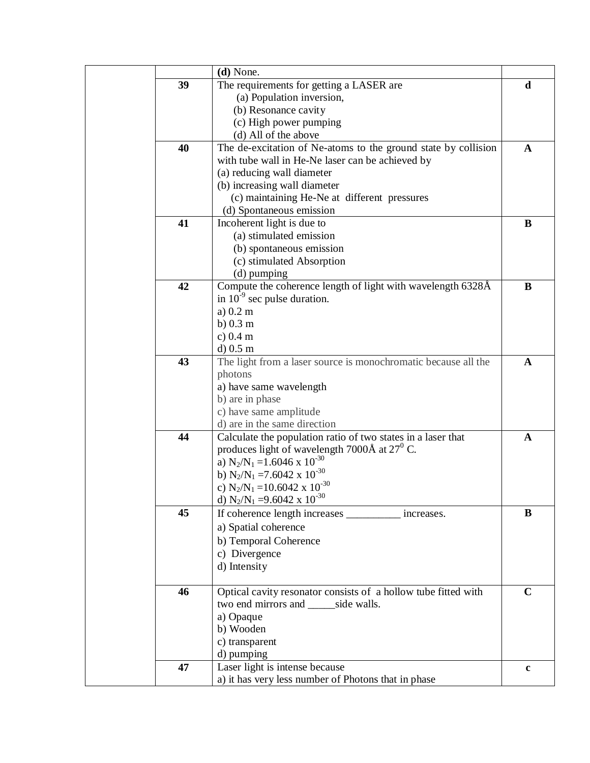|    | $(d)$ None.                                                    |             |
|----|----------------------------------------------------------------|-------------|
| 39 | The requirements for getting a LASER are                       | d           |
|    | (a) Population inversion,                                      |             |
|    | (b) Resonance cavity                                           |             |
|    | (c) High power pumping                                         |             |
|    | (d) All of the above                                           |             |
| 40 | The de-excitation of Ne-atoms to the ground state by collision | A           |
|    | with tube wall in He-Ne laser can be achieved by               |             |
|    | (a) reducing wall diameter                                     |             |
|    | (b) increasing wall diameter                                   |             |
|    | (c) maintaining He-Ne at different pressures                   |             |
|    | (d) Spontaneous emission                                       |             |
| 41 | Incoherent light is due to                                     | B           |
|    | (a) stimulated emission                                        |             |
|    | (b) spontaneous emission                                       |             |
|    | (c) stimulated Absorption                                      |             |
|    | $(d)$ pumping                                                  |             |
| 42 | Compute the coherence length of light with wavelength 6328Å    | B           |
|    | in $10^{-9}$ sec pulse duration.                               |             |
|    | $a)$ 0.2 m                                                     |             |
|    | $b)$ 0.3 m                                                     |             |
|    | c) 0.4 m                                                       |             |
|    | $d)$ 0.5 m                                                     |             |
| 43 | The light from a laser source is monochromatic because all the | A           |
|    | photons                                                        |             |
|    | a) have same wavelength                                        |             |
|    | b) are in phase                                                |             |
|    | c) have same amplitude                                         |             |
|    | d) are in the same direction                                   |             |
| 44 | Calculate the population ratio of two states in a laser that   | A           |
|    | produces light of wavelength 7000 $\AA$ at 27 <sup>0</sup> C.  |             |
|    | a) $N_2/N_1 = 1.6046 \times 10^{-30}$                          |             |
|    | b) $N_2/N_1 = 7.6042 \times 10^{-30}$                          |             |
|    | c) $N_2/N_1 = 10.6042 \times 10^{-30}$                         |             |
|    | d) $N_2/N_1 = 9.6042 \times 10^{-30}$                          |             |
| 45 | If coherence length increases __________ increases.            | B           |
|    | a) Spatial coherence                                           |             |
|    | b) Temporal Coherence                                          |             |
|    | c) Divergence                                                  |             |
|    | d) Intensity                                                   |             |
|    |                                                                |             |
| 46 | Optical cavity resonator consists of a hollow tube fitted with | $\mathbf C$ |
|    | two end mirrors and ______ side walls.                         |             |
|    | a) Opaque                                                      |             |
|    | b) Wooden                                                      |             |
|    | c) transparent                                                 |             |
|    | d) pumping                                                     |             |
| 47 | Laser light is intense because                                 | $\mathbf c$ |
|    | a) it has very less number of Photons that in phase            |             |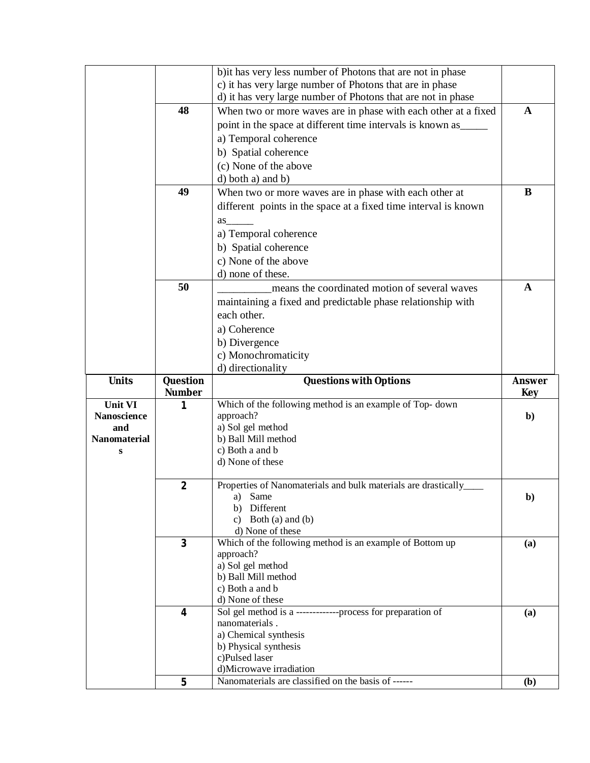|                                      |                    | b) it has very less number of Photons that are not in phase                    |               |
|--------------------------------------|--------------------|--------------------------------------------------------------------------------|---------------|
|                                      |                    | c) it has very large number of Photons that are in phase                       |               |
|                                      |                    | d) it has very large number of Photons that are not in phase                   |               |
|                                      | 48                 | When two or more waves are in phase with each other at a fixed                 | $\mathbf A$   |
|                                      |                    | point in the space at different time intervals is known as                     |               |
|                                      |                    | a) Temporal coherence                                                          |               |
|                                      |                    | b) Spatial coherence                                                           |               |
|                                      |                    | (c) None of the above                                                          |               |
|                                      |                    | d) both a) and b)                                                              |               |
|                                      | 49                 | When two or more waves are in phase with each other at                         | B             |
|                                      |                    | different points in the space at a fixed time interval is known                |               |
|                                      |                    | as                                                                             |               |
|                                      |                    | a) Temporal coherence                                                          |               |
|                                      |                    |                                                                                |               |
|                                      |                    | b) Spatial coherence                                                           |               |
|                                      |                    | c) None of the above                                                           |               |
|                                      | 50                 | d) none of these.                                                              | $\mathbf{A}$  |
|                                      |                    | means the coordinated motion of several waves                                  |               |
|                                      |                    | maintaining a fixed and predictable phase relationship with                    |               |
|                                      |                    | each other.                                                                    |               |
|                                      |                    | a) Coherence                                                                   |               |
|                                      |                    | b) Divergence                                                                  |               |
|                                      |                    | c) Monochromaticity                                                            |               |
|                                      |                    | d) directionality                                                              |               |
|                                      |                    |                                                                                |               |
| <b>Units</b>                         | Question           | <b>Questions with Options</b>                                                  | <b>Answer</b> |
|                                      | <b>Number</b><br>1 |                                                                                | Key           |
| <b>Unit VI</b><br><b>Nanoscience</b> |                    | Which of the following method is an example of Top-down<br>approach?           | $\mathbf{b}$  |
| and                                  |                    | a) Sol gel method                                                              |               |
| <b>Nanomaterial</b>                  |                    | b) Ball Mill method                                                            |               |
| S                                    |                    | c) Both a and b                                                                |               |
|                                      |                    | d) None of these                                                               |               |
|                                      |                    |                                                                                |               |
|                                      | $\overline{2}$     | Properties of Nanomaterials and bulk materials are drastically_<br>a) Same     |               |
|                                      |                    | b) Different                                                                   | $\mathbf{b}$  |
|                                      |                    | c) Both (a) and (b)                                                            |               |
|                                      |                    | d) None of these                                                               |               |
|                                      | $\overline{3}$     | Which of the following method is an example of Bottom up                       | (a)           |
|                                      |                    | approach?                                                                      |               |
|                                      |                    | a) Sol gel method<br>b) Ball Mill method                                       |               |
|                                      |                    | c) Both a and b                                                                |               |
|                                      |                    | d) None of these                                                               |               |
|                                      | 4                  | Sol gel method is a -------------process for preparation of                    | (a)           |
|                                      |                    | nanomaterials.                                                                 |               |
|                                      |                    | a) Chemical synthesis                                                          |               |
|                                      |                    | b) Physical synthesis<br>c)Pulsed laser                                        |               |
|                                      |                    | d)Microwave irradiation<br>Nanomaterials are classified on the basis of ------ |               |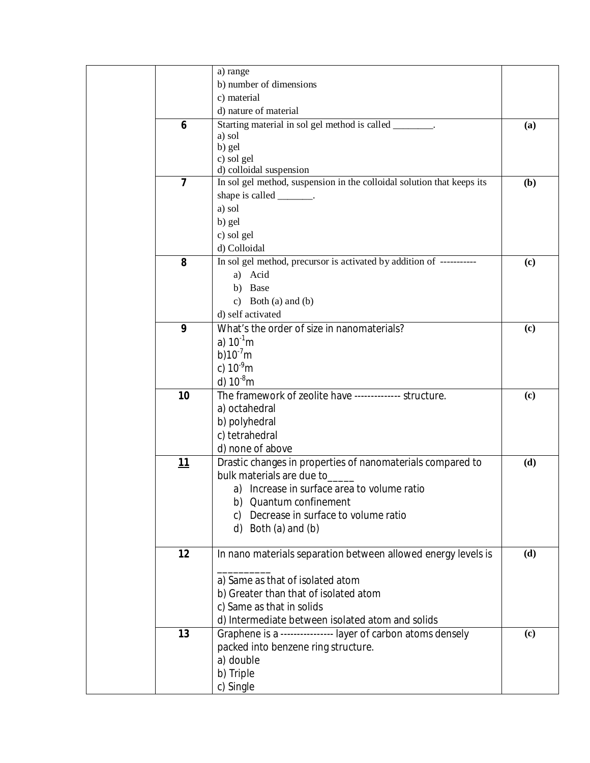|                         | a) range                                                               |     |
|-------------------------|------------------------------------------------------------------------|-----|
|                         | b) number of dimensions                                                |     |
|                         | c) material                                                            |     |
|                         | d) nature of material                                                  |     |
| 6                       | Starting material in sol gel method is called _______.                 | (a) |
|                         | a) sol                                                                 |     |
|                         | b) gel                                                                 |     |
|                         | c) sol gel                                                             |     |
|                         | d) colloidal suspension                                                |     |
| $\overline{\mathbf{z}}$ | In sol gel method, suspension in the colloidal solution that keeps its | (b) |
|                         | shape is called ________.                                              |     |
|                         | a) sol                                                                 |     |
|                         | b) gel                                                                 |     |
|                         | c) sol gel                                                             |     |
|                         | d) Colloidal                                                           |     |
| 8                       | In sol gel method, precursor is activated by addition of -----------   | (c) |
|                         | a) Acid                                                                |     |
|                         | b) Base                                                                |     |
|                         | c) Both (a) and (b)                                                    |     |
|                         | d) self activated                                                      |     |
| 9                       | What's the order of size in nanomaterials?                             | (c) |
|                         | a) $10^{-1}$ m                                                         |     |
|                         | b) $10^{-7}$ m                                                         |     |
|                         | c) $10^{-9}$ m                                                         |     |
|                         | d) $10^{-8}$ m                                                         |     |
| 10                      | The framework of zeolite have -------------- structure.                | (c) |
|                         | a) octahedral                                                          |     |
|                         | b) polyhedral                                                          |     |
|                         | c) tetrahedral                                                         |     |
|                         | d) none of above                                                       |     |
| <u> 11</u>              | Drastic changes in properties of nanomaterials compared to             | (d) |
|                         | bulk materials are due to                                              |     |
|                         | a) Increase in surface area to volume ratio                            |     |
|                         | b) Quantum confinement                                                 |     |
|                         | Decrease in surface to volume ratio<br>C)                              |     |
|                         | d) Both $(a)$ and $(b)$                                                |     |
|                         |                                                                        |     |
| 12                      | In nano materials separation between allowed energy levels is          | (d) |
|                         |                                                                        |     |
|                         | a) Same as that of isolated atom                                       |     |
|                         | b) Greater than that of isolated atom                                  |     |
|                         | c) Same as that in solids                                              |     |
|                         | d) Intermediate between isolated atom and solids                       |     |
| 13                      | Graphene is a ---------------- layer of carbon atoms densely           | (c) |
|                         | packed into benzene ring structure.                                    |     |
|                         | a) double                                                              |     |
|                         | b) Triple                                                              |     |
|                         | c) Single                                                              |     |
|                         |                                                                        |     |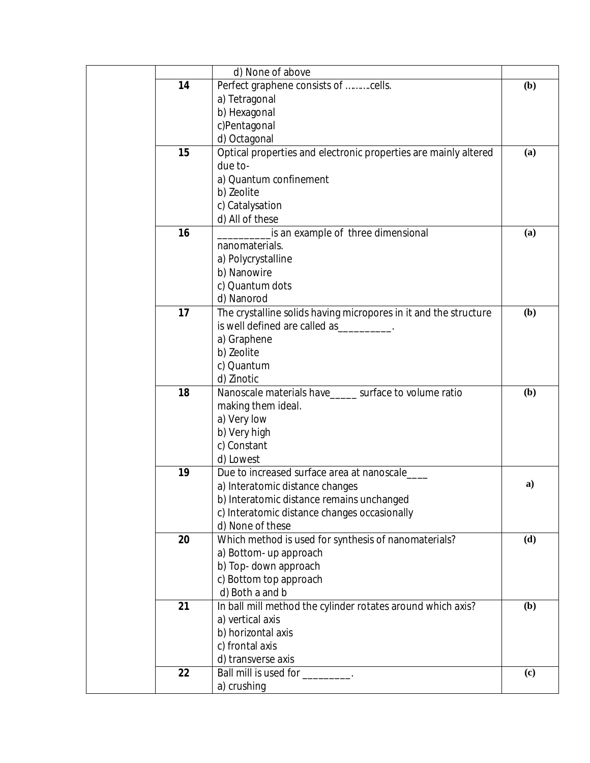|    | d) None of above                                                                                                |     |
|----|-----------------------------------------------------------------------------------------------------------------|-----|
| 14 | Perfect graphene consists of cells.                                                                             | (b) |
|    | a) Tetragonal                                                                                                   |     |
|    | b) Hexagonal                                                                                                    |     |
|    | c)Pentagonal                                                                                                    |     |
|    | d) Octagonal                                                                                                    |     |
| 15 | Optical properties and electronic properties are mainly altered                                                 | (a) |
|    | due to-                                                                                                         |     |
|    | a) Quantum confinement                                                                                          |     |
|    | b) Zeolite                                                                                                      |     |
|    | c) Catalysation                                                                                                 |     |
|    | d) All of these                                                                                                 |     |
| 16 | is an example of three dimensional                                                                              | (a) |
|    | nanomaterials.                                                                                                  |     |
|    | a) Polycrystalline                                                                                              |     |
|    | b) Nanowire                                                                                                     |     |
|    | c) Quantum dots                                                                                                 |     |
|    | d) Nanorod                                                                                                      |     |
| 17 | The crystalline solids having micropores in it and the structure                                                | (b) |
|    | is well defined are called as the state of the state of the state of the state of the state of the state of the |     |
|    | a) Graphene                                                                                                     |     |
|    | b) Zeolite                                                                                                      |     |
|    | c) Quantum                                                                                                      |     |
|    | d) Zinotic                                                                                                      |     |
| 18 | Nanoscale materials have_____ surface to volume ratio                                                           | (b) |
|    | making them ideal.                                                                                              |     |
|    | a) Very low                                                                                                     |     |
|    | b) Very high                                                                                                    |     |
|    | c) Constant                                                                                                     |     |
|    | d) Lowest                                                                                                       |     |
| 19 | Due to increased surface area at nanoscale                                                                      |     |
|    | a) Interatomic distance changes                                                                                 | a)  |
|    | b) Interatomic distance remains unchanged                                                                       |     |
|    | c) Interatomic distance changes occasionally                                                                    |     |
|    | d) None of these                                                                                                |     |
| 20 | Which method is used for synthesis of nanomaterials?                                                            | (d) |
|    | a) Bottom- up approach                                                                                          |     |
|    | b) Top- down approach                                                                                           |     |
|    | c) Bottom top approach                                                                                          |     |
|    | d) Both a and b                                                                                                 |     |
| 21 | In ball mill method the cylinder rotates around which axis?                                                     | (b) |
|    | a) vertical axis                                                                                                |     |
|    | b) horizontal axis                                                                                              |     |
|    | c) frontal axis                                                                                                 |     |
|    | d) transverse axis                                                                                              |     |
| 22 | Ball mill is used for subsets of the state of the state of the state of the state of the Ball materials.        | (c) |
|    | a) crushing                                                                                                     |     |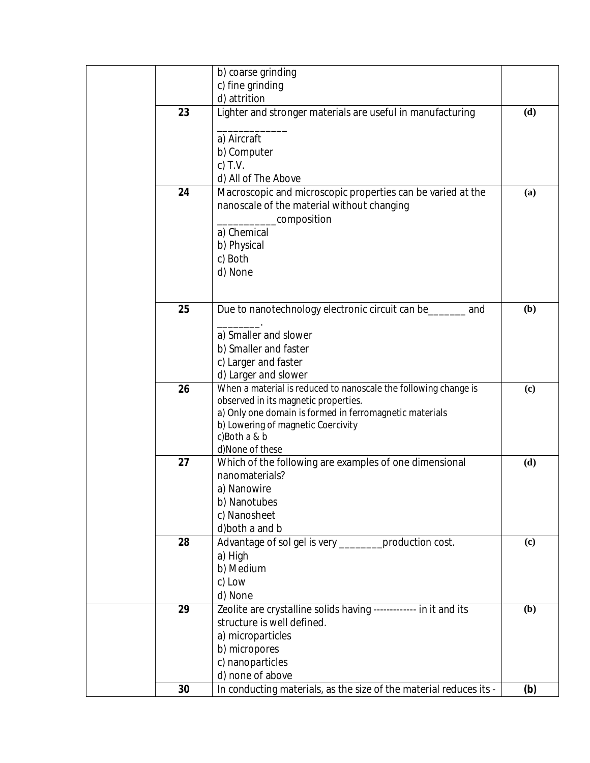|    | b) coarse grinding                                                 |     |
|----|--------------------------------------------------------------------|-----|
|    | c) fine grinding                                                   |     |
|    | d) attrition                                                       |     |
| 23 | Lighter and stronger materials are useful in manufacturing         | (d) |
|    |                                                                    |     |
|    | a) Aircraft                                                        |     |
|    | b) Computer                                                        |     |
|    | c) $T.V.$                                                          |     |
|    | d) All of The Above                                                |     |
| 24 | Macroscopic and microscopic properties can be varied at the        | (a) |
|    | nanoscale of the material without changing                         |     |
|    | composition                                                        |     |
|    | a) Chemical                                                        |     |
|    | b) Physical                                                        |     |
|    | c) Both                                                            |     |
|    | d) None                                                            |     |
|    |                                                                    |     |
| 25 | Due to nanotechnology electronic circuit can be_<br>and            | (b) |
|    |                                                                    |     |
|    | a) Smaller and slower                                              |     |
|    | b) Smaller and faster                                              |     |
|    | c) Larger and faster                                               |     |
|    | d) Larger and slower                                               |     |
| 26 | When a material is reduced to nanoscale the following change is    | (c) |
|    | observed in its magnetic properties.                               |     |
|    | a) Only one domain is formed in ferromagnetic materials            |     |
|    | b) Lowering of magnetic Coercivity<br>c)Both a & b                 |     |
|    | d)None of these                                                    |     |
| 27 | Which of the following are examples of one dimensional             | (d) |
|    | nanomaterials?                                                     |     |
|    | a) Nanowire                                                        |     |
|    | b) Nanotubes                                                       |     |
|    | c) Nanosheet                                                       |     |
|    | d) both a and b                                                    |     |
| 28 | Advantage of sol gel is very _________ production cost.            | (c) |
|    | a) High                                                            |     |
|    | b) Medium                                                          |     |
|    | c) Low                                                             |     |
|    | d) None                                                            |     |
| 29 | Zeolite are crystalline solids having ------------ in it and its   | (b) |
|    | structure is well defined.                                         |     |
|    | a) microparticles<br>b) micropores                                 |     |
|    | c) nanoparticles                                                   |     |
|    | d) none of above                                                   |     |
| 30 | In conducting materials, as the size of the material reduces its - | (b) |
|    |                                                                    |     |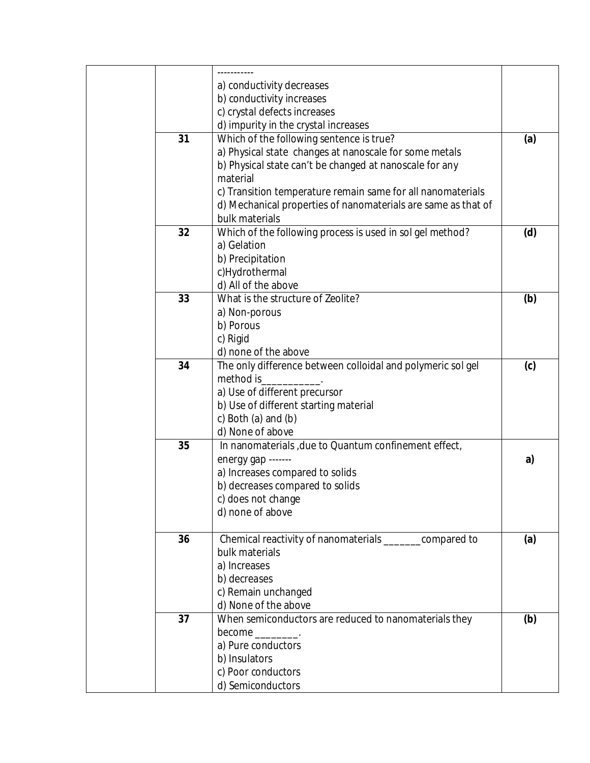|    | a) conductivity decreases                                     |     |
|----|---------------------------------------------------------------|-----|
|    | b) conductivity increases                                     |     |
|    | c) crystal defects increases                                  |     |
|    | d) impurity in the crystal increases                          |     |
| 31 | Which of the following sentence is true?                      | (a) |
|    | a) Physical state changes at nanoscale for some metals        |     |
|    | b) Physical state can't be changed at nanoscale for any       |     |
|    | material                                                      |     |
|    | c) Transition temperature remain same for all nanomaterials   |     |
|    | d) Mechanical properties of nanomaterials are same as that of |     |
|    | bulk materials                                                |     |
| 32 | Which of the following process is used in sol gel method?     | (d) |
|    | a) Gelation                                                   |     |
|    | b) Precipitation                                              |     |
|    | c)Hydrothermal                                                |     |
|    | d) All of the above                                           |     |
| 33 | What is the structure of Zeolite?                             | (b) |
|    | a) Non-porous                                                 |     |
|    | b) Porous                                                     |     |
|    | c) Rigid                                                      |     |
|    | d) none of the above                                          |     |
| 34 | The only difference between colloidal and polymeric sol gel   | (c) |
|    | method is                                                     |     |
|    | a) Use of different precursor                                 |     |
|    | b) Use of different starting material                         |     |
|    | c) Both $(a)$ and $(b)$                                       |     |
|    | d) None of above                                              |     |
| 35 | In nanomaterials, due to Quantum confinement effect,          |     |
|    | energy gap -------                                            | a)  |
|    | a) Increases compared to solids                               |     |
|    | b) decreases compared to solids                               |     |
|    | c) does not change                                            |     |
|    | d) none of above                                              |     |
|    |                                                               |     |
| 36 | Chemical reactivity of nanomaterials __________ compared to   | (a) |
|    | bulk materials                                                |     |
|    | a) Increases                                                  |     |
|    | b) decreases                                                  |     |
|    | c) Remain unchanged                                           |     |
|    | d) None of the above                                          |     |
| 37 | When semiconductors are reduced to nanomaterials they         | (b) |
|    | $become$ .                                                    |     |
|    | a) Pure conductors                                            |     |
|    | b) Insulators                                                 |     |
|    | c) Poor conductors                                            |     |
|    | d) Semiconductors                                             |     |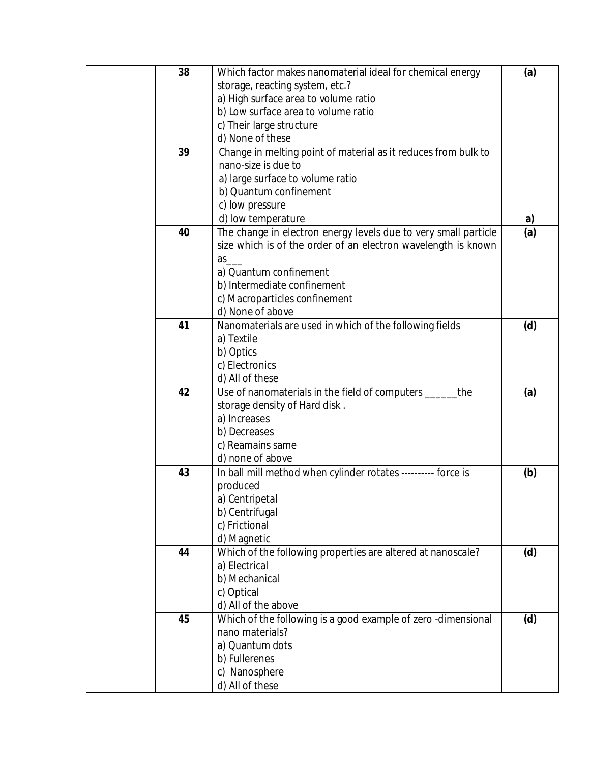| 38 | Which factor makes nanomaterial ideal for chemical energy       | (a) |
|----|-----------------------------------------------------------------|-----|
|    | storage, reacting system, etc.?                                 |     |
|    | a) High surface area to volume ratio                            |     |
|    | b) Low surface area to volume ratio                             |     |
|    | c) Their large structure                                        |     |
|    | d) None of these                                                |     |
| 39 | Change in melting point of material as it reduces from bulk to  |     |
|    | nano-size is due to                                             |     |
|    | a) large surface to volume ratio                                |     |
|    | b) Quantum confinement                                          |     |
|    | c) low pressure                                                 |     |
|    | d) low temperature                                              | a)  |
| 40 | The change in electron energy levels due to very small particle | (a) |
|    | size which is of the order of an electron wavelength is known   |     |
|    | $as$ <sub>___</sub>                                             |     |
|    | a) Quantum confinement                                          |     |
|    | b) Intermediate confinement                                     |     |
|    | c) Macroparticles confinement                                   |     |
|    | d) None of above                                                |     |
| 41 | Nanomaterials are used in which of the following fields         | (d) |
|    | a) Textile                                                      |     |
|    | b) Optics                                                       |     |
|    | c) Electronics                                                  |     |
|    | d) All of these                                                 |     |
| 42 | Use of nanomaterials in the field of computers ____<br>the      | (a) |
|    | storage density of Hard disk.                                   |     |
|    | a) Increases                                                    |     |
|    | b) Decreases                                                    |     |
|    | c) Reamains same                                                |     |
|    | d) none of above                                                |     |
| 43 | In ball mill method when cylinder rotates ---------- force is   | (b) |
|    | produced                                                        |     |
|    | a) Centripetal                                                  |     |
|    | b) Centrifugal                                                  |     |
|    | c) Frictional                                                   |     |
|    | d) Magnetic                                                     |     |
| 44 | Which of the following properties are altered at nanoscale?     | (d) |
|    | a) Electrical                                                   |     |
|    | b) Mechanical                                                   |     |
|    | c) Optical                                                      |     |
|    | d) All of the above                                             |     |
| 45 | Which of the following is a good example of zero -dimensional   | (d) |
|    | nano materials?                                                 |     |
|    | a) Quantum dots                                                 |     |
|    | b) Fullerenes                                                   |     |
|    | c) Nanosphere                                                   |     |
|    | d) All of these                                                 |     |